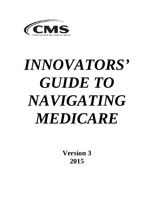

# *INNOVATORS' GUIDE TO NAVIGATING MEDICARE*

**Version 3 2015**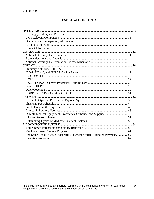# **TABLE of CONTENTS**

| Durable Medical Equipment, Prosthetics, Orthotics, and Supplies 49       |
|--------------------------------------------------------------------------|
|                                                                          |
|                                                                          |
|                                                                          |
|                                                                          |
|                                                                          |
| End Stage Renal Disease Prospective Payment System - Bundled Payment  62 |
|                                                                          |

 $\overline{2}$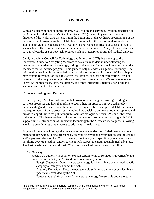# **OVERVIEW**

<span id="page-2-0"></span>With a Medicare budget of approximately \$500 billion and serving 54 million beneficiaries, the Centers for Medicare & Medicaid Services (CMS) plays a key role in the overall direction of the health care system. From the beginning of the Medicare program, one of the most important program goals for CMS has been to make "the best of modern medicine'' available to Medicare beneficiaries. Over the last 50 years, significant advances in medical science have offered improved health for beneficiaries and others. Many of these advances have involved the use of new technologies, such as prescription drugs and medical devices.

CMS, through its Council for Technology and Innovation (CTI), has developed the Innovators' Guide to Navigating Medicare to assist stakeholders in understanding the processes used to determine coverage, coding, and payment for new technologies under the Medicare fee-for-service program. This guide is only intended as a general summary. The information provided is not intended to grant rights or impose obligations. While a chapter may contain references or links to statutes, regulations, or other policy materials, it is not intended to take the place of applicable statutory law or regulations. We encourage readers to review the specific statutes, regulations, and other interpretive materials for a full and accurate statement of their contents.

## <span id="page-2-1"></span>**Coverage, Coding, and Payment**

In recent years, CMS has made substantial progress in defining the coverage, coding, and payment processes and how they relate to each other. In order to improve stakeholder understanding and consider how these processes might be further improved, CMS has made the requirements of these processes, including how decisions are made, more transparent and provided opportunities for public input to facilitate dialogue between CMS and interested stakeholders. This better enables stakeholders to develop a strategy for working with CMS to support timely introduction of innovative technology to the Medicare marketplace, allowing Medicare beneficiaries timely access to advances in health care.

Payment for many technological advances can be made under one of Medicare's payment methodologies without being preceded by an explicit coverage determination, coding change, and/or payment decision by CMS. However, the Agency will specifically evaluate issues involving coverage, coding, and/or payment with respect to certain technological advances. The basic analytical framework that CMS uses for each of these issues is as follows:

## 1) **Coverage**

Medicare's authority to cover or exclude certain items or services is governed by the Social Security Act (the Act) and implementing regulations.

- *Benefit Category* Does the new technology fall into at least one defined benefit category or categories under the Act?
- *Statutory Exclusion* Does the new technology involve an item or service that is specifically excluded by the Act?
- *Reasonable and Necessary* Is the new technology "reasonable and necessary"

This guide is only intended as a general summary and is not intended to grant rights, impose This guide is only intended as a general summary and is not intended to grant rights, impose  $\overline{3}$ <br>obligations, or take the place of either the written law or regulations.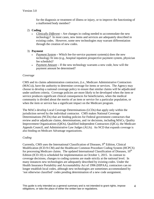for the diagnosis or treatment of illness or injury, or to improve the functioning of a malformed body member?

- 2) **Coding**
	- *Clinically Different*Are changes in coding needed to accommodate the new technology? In most cases, new items and services are adequately described in existing codes. However, some new technologies may warrant differentiation through the creation of new codes.
- 3) **Payment**
	- *Payment System*Which fee-for-service payment system(s) does the new technology fit into (e.g., hospital inpatient prospective payment system, physician fee schedule)?
	- *Payment Amount* If the new technology warrants a new code, how will the payment amount be determined?

#### *Coverage*

CMS and its claims administration contractors, (i.e., Medicare Administrative Contractors (MACs)), have the authority to determine coverage for items or services. The Agency may choose to develop a national coverage policy to ensure that similar claims will be adjudicated under uniform criteria. Coverage policies are more likely to be developed when the item or service produces significant clinical consequences for beneficiaries, when the medical community is divided about the merits of an item or service for a particular population, or when the item or service has a significant impact on the Medicare program.

The MACs develop Local Coverage Determinations (LCDs) that apply only within the jurisdiction served by the individual contractor. CMS makes National Coverage Determinations (NCDs) that are binding policies for Federal government contractors that review and/or adjudicate claims, determinations, and /or decisions, including MACs, Quality Improvement Organizations (QIOs), Qualified Independent Contractors (QICs), the Medicare Appeals Council, and Administrative Law Judges (ALJs). An NCD that expands coverage is also binding on Medicare Advantage organizations.

#### *Coding*

Currently, CMS uses the International Classification of Diseases,  $9<sup>th</sup>$  Edition, Clinical Modification (ICD-9-CM) and the Healthcare Common Procedure Coding System (HCPCS) for processing Medicare claims. The updated International Classification of Diseases,  $10<sup>th</sup>$ Edition (ICD-10) is scheduled for implementation on October 1, 2015. In contrast to coverage decisions, changes to coding systems are made strictly at the national level. In many instances new technologies are adequately described by existing codes. Under the Health Insurance Portability and Accountability Act of 1996 (HIPAA), contractors can no longer establish local codes, although new technologies are sometimes accommodated by 'not otherwise classified' codes pending determination of a new code assignment.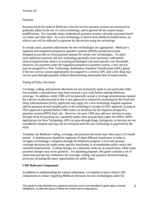#### Version 3.0

#### *Payment*

Payment levels for most of Medicare's fee-for-service payment systems are structured to gradually adjust to the use of a new technology, and in general do not require major modifications. For example, many institutional payment systems calculate payments based on claims and other data. As a new technology is used to treat Medicare beneficiaries, its relative use will be reflected in payment for the service using the technology.

In certain cases, payment adjustments for new technologies are appropriate. Medicare's inpatient and outpatient prospective payment systems (OPPS) include provisions designed to provide an extra payment amount for certain new technologies. To merit such additional payment, the new technology generally must represent a substantial clinical improvement relative to existing technologies and meet specific cost thresholds. However, for payment under the outpatient prospective payment system, a new service may be assigned to a New Technology Ambulatory Payment Classification (APC) group if the new service cannot appropriately be assigned to a clinical APC and a new drug may receive pass-through payment without demonstrating substantial clinical improvement.

#### *Timing of Policy Decisions*

Coverage, coding, and payment decisions are not necessarily made in any particular order. For example, a manufacturer may have secured a new code before seeking Medicare coverage. In addition, while CMS will not generally accept a coverage determination request for a device or pharmaceutical that is not approved or cleared for marketing by the Food and Drug Administration (FDA), applicants may apply for a new technology hospital inpatient add-on payment several months prior to the technology's receipt of FDA approval, as long as FDA approval is granted before CMS makes its decisions for the inpatient prospective payment system (IPPS) final rule. However, because CMS may add new services or passthrough items for payment on a quarterly (rather than annual) basis under the OPPS, OPPS applications for New Technology APCs or pass-through drugs, biologicals, or devices are not considered complete and may not be evaluated until the new technology is approved by the FDA.

Timelines for Medicare coding, coverage, and payment decisions may often span a 12 month period. A manufacturer should be cognizant of these different timeframes in order to navigate a technology's adoption through the Medicare program. Local and national coverage decisions are made under specific timeframes to accommodate public notice and comment requirements. Coding changes are commonly made on an annual basis, while some payment changes may occur quarterly. For planning purposes, this guide contains a set of charts that provide key milestones for coverage, coding, and payment decision-making processes including the many opportunities for public input.

## <span id="page-4-0"></span>**CMS Relevant Components**

In addition to understanding the various milestones, it is helpful to know which CMS components to contact regarding Medicare decisions for new technologies under the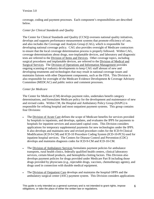coverage, coding and payment processes. Each component's responsibilities are described below.

## *Center for Clinical Standards and Quality*

The Center for Clinical Standards and Quality (CCSQ) oversees national quality initiatives, develops and supports performance measurement systems that promote efficiency of care, and also includes the Coverage and Analysis Group (CAG), which is responsible for developing national coverage policy. CAG also provides oversight of Medicare contractors to ensure that the local coverage determination process is properly followed. Within CAG, coverage determinations about drugs, non-implantable devices, and laboratory and diagnostic tests are referred to the Division of Items and Devices. Other coverage topics, including surgical procedures and implantable devices, are referred to the Division of Medical and Surgical Services. The Division of Operations and Information Management provides ongoing scanning of industry developments to keep CAG staff abreast of new and developing treatments and technologies that may result in national coverage issues and maintains liaisons with other Department components, such as the FDA. This Division is also responsible for oversight of the Medicare Evidence Development & Coverage Advisory Committee (MEDCAC) and public notice and comment processes.

## *Center for Medicare*

The Center for Medicare (CM) develops payment rules, undertakes benefit category determinations, and formulates Medicare policy for the development and maintenance of new and revised codes. Within CM, the Hospital and Ambulatory Policy Group (HAPG) is responsible for refining hospital and most outpatient payment systems. This group contains four Divisions:

- The Division of Acute Care defines the scope of Medicare benefits for services provided by hospitals to inpatients, and develops, updates, and evaluates the IPPS for payments to hospitals for inpatient services and associated capital costs. This Division considers applications for temporary supplemental payments for new technologies under the IPPS. It also develops and maintains new and revised procedure codes for the ICD-9-Clinical Modification (ICD-9-CM) and ICD-10 Procedure Coding System (ICD-10-PCS) used for inpatient hospital services. The Centers for Disease Control and Prevention (CDC) develops and maintains diagnosis codes for ICD-9-CM and ICD-10-CM.
- The Division of Ambulatory Services formulates payment policies for ambulance transports, rural health clinics, federally qualified health centers, clinical laboratory services, certain blood products, and hemophilia clotting factors. This Division also develops payment policies for drugs provided under Medicare Part B including those drugs provided by physicians (e.g., injectable drugs, vaccines, chemotherapy agents), and drugs used in connection with durable medical equipment.
- The Division of Outpatient Care develops and maintains the hospital OPPS and the ambulatory surgical center (ASC) payment system. This Division considers applications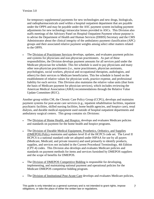for temporary supplemental payments for new technologies and new drugs, biologicals, and radiopharmaceuticals used within a hospital outpatient department that are payable under the OPPS and may be payable under the ASC payment system including payment adjustments for new technology intraocular lenses provided in ASCs. This Division also staffs meetings of the Advisory Panel on Hospital Outpatient Payment whose purpose is to advise the Department of Health and Human Services (DHHS) Secretary and the CMS Administrator about the clinical integrity of the ambulatory payment classification (APC) groups and their associated relative payment weights among select other matters related to the OPPS.

• The Division of Practitioner Services develops, updates, and evaluates payment policies and systems for physicians and non-physician practitioners. As part of these responsibilities, the Division develops payment amounts for all services paid under the Medicare physician fee schedule. This fee schedule is used to pay physicians and many other non-physician practitioners (i.e., nurse practitioners, physician assistants, psychologists, social workers, physical and occupational therapists, audiologists, and others) for their services to Medicare beneficiaries. This fee schedule is based on the establishment of relative values for physician work, practice expense, and professional liability for each service. This Division also maintains the relative value units (that form the basis of Medicare payment for physician services), which includes reviewing the American Medical Association (AMA) recommendations through the Relative Value Update Committee (RUC).

Another group within CM, the Chronic Care Policy Group (CCPG), develops and maintains payment systems for post-acute care services (e.g., inpatient rehabilitation facilities, inpatient psychiatric facilities, skilled nursing facilities, home health agencies, and hospice care), renal dialysis, and durable medical equipment used outside of hospital outpatient departments and ambulatory surgical centers. This group contains six Divisions:

- The Division of Home Health, and Hospice, develops and evaluates Medicare policies and standards on payment for the home health and hospice programs.
- The Division of Durable Medical Equipment, Prosthetics, Orthotics, and Supplies (DMEPOS) Policy maintains and updates level II of the HCPCS code set. The Level II HCPCS is a national standard code set adopted under HIPAA for use by all payers (Medicare, Medicaid, and private insurers) and used primarily to identify products, supplies, and services not included in the Current Procedural Terminology, 4th Edition (CPT-4) codes. This Division also develops and evaluates Medicare policies and standards on payment methods for items and services furnished by DMEPOS suppliers and the scope of benefits for DMEPOS.
- The Division of DMEPOS Competitive Bidding is responsible for developing, implementing, and maintaining national payment and operational policies for the Medicare DMEPOS competitive bidding program.
- The Division of Institutional Post-Acute Care develops and evaluates Medicare policies,

This guide is only intended as a general summary and is not intended to grant rights, impose This guide is only intended as a general summary and is not intended to grant rights, impose 7<br>obligations, or take the place of either the written law or regulations.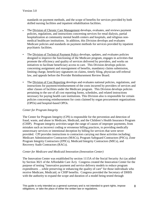standards on payment methods, and the scope of benefits for services provided by both skilled nursing facilities and inpatient rehabilitation facilities.

- The Division of Chronic Care Management develops, evaluates, and reviews payment policies, regulations, and instructions concerning services for renal dialysis, partial hospitalization at community mental health centers and hospitals, and religious nonmedical healthcare institutions. In addition, this Division develops and evaluates Medicare policies and standards on payment methods for services provided by inpatient psychiatric facilities.
- The Division of Technical Payment Policy develops, updates, and evaluates policies designed to improve the functioning of the Medicare program, engages in activities that promote the efficiency and quality of services delivered by providers, and works on initiatives to facilitate beneficiary access to care. This Division develops policies concerning assignment and reassignment of benefits, mandatory claims submission, limiting charge, beneficiary signatures on claims, timely filing, physician self-referral law, and appeals before the Provider Reimbursement Review Board.
- The Division of Cost Reporting develops and evaluates national policies, regulations, and instructions for payment/reimbursement of the costs incurred by providers of services and other classes of facilities under the Medicare program. This Division develops policies pertaining to the use of all cost reporting forms, schedules, and related instructions necessary for paying health care institutions. This Division also is responsible for certain policies concerning reimbursement for costs claimed by organ procurement organizations (OPOs) and hospital-based OPOs.

# *Center for Program Integrity*

The Center for Program Integrity (CPI) is responsible for the prevention and detection of fraud, waste, and abuse in Medicare, Medicaid, and the Children's Health Insurance Program (CHIP). Program integrity activities target the range of causes of improper payments, from mistakes such as incorrect coding or erroneous billing practices, to providing medically unnecessary services or intentional deception by billing for services that were never provided. CPI provides instructions to contractors carrying out these activities including; Medicare Administrative Contractors (MACs), Program Safeguard Contractors (PSCs), Zone Program Integrity Contractors (ZPICs), Medicaid Integrity Contractors (MICs), and Recovery Audit Contractors (RACs).

## *Center for Medicare and Medicaid Innovation (Innovation Center)*

The Innovation Center was established by section 1115A of the Social Security Act (as added by Section 3021 of the Affordable Care Act). Congress created the Innovation Center for the purpose of testing "innovative payment and service delivery models to reduce program expenditures …while preserving or enhancing the quality of care" for those individuals who receive Medicare, Medicaid, or CHIP benefits. Congress provided the Secretary of DHHS with the authority to expand the scope and duration of a model being tested through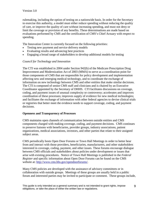rulemaking, including the option of testing on a nationwide basis. In order for the Secretary to exercise this authority, a model must either reduce spending without reducing the quality of care, or improve the quality of care without increasing spending, and must not deny or limit the coverage or provision of any benefits. These determinations are made based on evaluations performed by CMS and the certification of CMS's Chief Actuary with respect to spending.

The Innovation Center is currently focused on the following priorities:

- Testing new payment and service delivery models
- Evaluating results and advancing best practices
- Engaging a broad range of stakeholders to develop additional models for testing

## *Council for Technology and Innovation*

The CTI was established in 2004 under Section 942(b) of the Medicare Prescription Drug Improvement and Modernization Act of 2003 (MMA) to serve as a coordination point for those components of CMS that are responsible for policy development and implementation affecting new and emerging medical technology, and to coordinate the exchange of information on new technology between CMS and other entities that make similar decisions. The CTI is composed of senior CMS staff and clinicians and is chaired by an Executive Coordinator appointed by the Secretary of DHHS. CTI facilitates discussions on coverage, coding, and payment issues of unusual complexity or controversy; accelerates and improves coordination of these processes; improves supply of evidence for new medical technologies; and facilitates the exchange of information with other federal agencies to devise clinical trials or registries that better meet the evidence needs to support coverage, coding, and payment decisions.

## <span id="page-8-0"></span>**Openness and Transparency of Processes**

CMS maintains open channels of communication between outside entities and CMS components charged with making coverage, coding, and payment decisions. CMS continues to preserve liaisons with beneficiaries, provider groups, industry associations, patient organizations, medical associations, investors, and other parties that relate to their assigned subject areas.

CMS periodically hosts Open Door Forums or Town Hall Meetings in order to better hear from and interact with those providers, beneficiaries, manufacturers, and other stakeholders interested in coverage, coding, payment, and other issues. These forums encourage dialogue between CMS officials and stakeholders about policies under development or issues that arise with existing procedures. Notice of Town Hall Meetings is published in the *Federal Register* and specific information about Open Door Forums can be found on the CMS website at: [http://www.cms.hhs.gov/opendoorforums/.](http://www.cms.hhs.gov/opendoorforums/)

Many CMS policies are developed with the assistance of advisory committees or in collaboration with outside groups. Meetings of these groups are usually held in a public forum and interested parties may be invited to participate or comment. These groups include,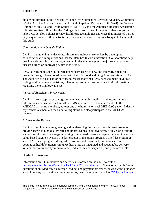but are not limited to, the Medical Evidence Development & Coverage Advisory Committee (MEDCAC), the Advisory Panel on Hospital Outpatient Payment (HOP Panel), the National Committee on Vital and Health Statistics (NCVHS), and the American Hospital Association Editorial Advisory Board for the Coding Clinic. Activities of these and other groups that help CMS develop policies for new health care technologies and ways that interested parties may stay informed of their activities are described in more detail in subsequent chapters of this guide.

#### *Coordination with Outside Entities*

CMS is strengthening its ties to health care technology stakeholders by developing collaborations with organizations that facilitate health care innovation. Collaborations help provide early insights into emerging technologies that may play a major role in reducing disease burden or improving health in the future.

CMS is working to speed Medicare beneficiary access to new and innovative medical products through closer coordination with the U.S. Food and Drug Administration (FDA). The Agencies are also exploring ways to ensure that when CMS needs to make coverage, coding, and/or payment decisions, it has access to timely and accurate FDA information regarding the technology at issue.

#### *Increased Beneficiary Involvement*

CMS has taken steps to encourage communication with beneficiary advocates in order to inform policy decisions. In June 2005, CMS appointed six patient advocates to the MEDCAC as voting members, at least one of whom sits on each MEDCAC panel. Industry representatives maintain their non-voting status and also participate in the MEDCAC reviews.

## <span id="page-9-0"></span>**A Look to the Future**

CMS is committed to strengthening and modernizing the nation's health care system to provide access to high quality care and improved health at lower cost. Our vision of future success in fulfilling this charge is moving from a fee-for-service payment system towards a value-based payment system. The last chapter of this guide provides a brief description of several Medicare programs designed to promote and measurably improve care and population health by transforming Medicare into an integrated and accountable delivery system that continuously improves care, reduces unnecessary costs, and promotes health.

## <span id="page-9-1"></span>**Contact Information**

Information on CTI initiatives and activities is located on the CMS website at [http://www.cms.hhs.gov/CouncilonTechInnov/01\\_overview.asp](http://www.cms.hhs.gov/CouncilonTechInnov/01_overview.asp) . Stakeholders with further questions about Medicare's coverage, coding, and payment processes, or who want guidance about how they can navigate these processes, can contact the Council at CTI@cms.hhs.gov.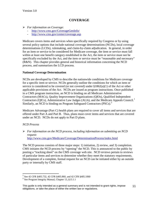# **COVERAGE**

- <span id="page-10-0"></span> *For information on Coverage*:
	- <http://www.cms.gov/CoverageGenInfo/>
	- <http://www.cms.gov/center/coverage.asp>

Medicare covers items and services when specifically required by Congress or by using several policy options that include national coverage determinations (NCDs), local coverage determinations (LCDs), rulemaking, and claim-by-claim adjudication. In general, in order for an item or service to be considered for Medicare coverage, the item or service must fall within at least one benefit category established in the Act, the item or service must not be specifically excluded by the Act, and the item or service must be "reasonable and necessary" (R&N). This chapter provides general and historical information concerning the NCD process, and summarizes the LCD process.

## <span id="page-10-1"></span>**National Coverage Determination**

NCDs are developed by CMS to describe the nationwide conditions for Medicare coverage for a specific item or service. NCDs generally outline the conditions for which an item or service is considered to be covered (or not covered) under  $\S 1862(a)(1)$  of the Act or other applicable provisions of the Act. NCDs are issued as program instructions. Once published in a CMS program instruction, an NCD is binding on all Medicare Administrative Contractors (MACs), Quality Improvement Organizations (QIOs), Qualified Independent Contractors (QICs), Administrative Law Judges (ALJs), and the Medicare Appeals Council.<sup>[1](#page-10-2)</sup> Similarly, an NCD is binding on Program Safeguard Contractors (PSCs).<sup>[2](#page-10-3)</sup>

Medicare Advantage (Part C) health plans are required to cover all items and services that are offered under Part A and Part B. Thus, plans must cover items and services that are covered under an NCD. NCDs do not apply to Part D plans.

## *NCD Process*

 *For information on the NCD process, including information on submitting an NCD request*: <http://www.cms.gov/Medicare/Coverage/DeterminationProcess/index.html>

The NCD process consists of three major steps: 1) initiation, 2) review, and 3) completion. CMS initiates the NCD process by "opening" the NCD. This is announced to the public by posting a "tracking sheet" on the CMS coverage web site. NCD reviews pertain to reviews of particular items and services to determine whether they meet the statutory requirements. Development of a complete, formal request for an NCD can be initiated either by an outside party or internally by CMS staff.

  $^{1}$  See 42 CFR §405.732, 42 CFR §405.860, and 42 CFR §405.1060

<span id="page-10-3"></span><span id="page-10-2"></span> $2^{2}$  See Program Integrity Manual, Chapter 13, §13.1.1

This guide is only intended as a general summary and is not intended to grant rights, impose This guide is only intended as a general summary and is not intended to grant rights, impose 11<br>obligations, or take the place of either the written law or regulations.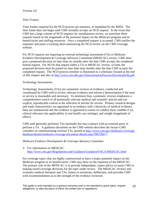## *Time Frames*

Time frames required for the NCD process are statutory, as mandated by the MMA. The time frame does not begin until CMS formally accepts an NCD request. In the event that CMS has a large volume of NCD requests for simultaneous review, we prioritize these requests based on the magnitude of the potential impact on the Medicare program and its beneficiaries and staffing resources. Once a completed request is accepted, CMS notifies the requester and posts a tracking sheet announcing the NCD review on the CMS coverage website.

For NCD requests not requiring an external technology assessment (TA) or Medicare Evidence Development & Coverage Advisory Committee (MEDCAC) review, CMS must post a proposed decision no later than six months after the date CMS accepts the completed formal request. For NCDs that require either a TA or MEDCAC review, or both, the proposed decision must be posted no later than nine months after the date CMS accepts the completed request. The NCD process timeline is illustrated in a schematic located at the end of this chapter and also at [http://www.cms.hhs.gov/DeterminationProcess/Downloads/8a.pdf.](http://www.cms.hhs.gov/DeterminationProcess/Downloads/8a.pdf)

## *Technology Assessments*

Technology Assessments (TAs) are systematic reviews of evidence, conducted and coordinated by CMS staff to review relevant evidence and inform a determination if the item or service is reasonable and necessary. To minimize bias, systematic reviews emphasize a comprehensive search of all potentially relevant medical and scientific articles and use explicit, reproducible criteria in the selection of articles for review. Primary research designs and study characteristics are appraised in accordance with a hierarchy of medical evidence. Data are summarized and the evidence is appraised to assess its validity (how credible it is), clinical relevance (its applicability in real health care settings), and weight (magnitude of effect).

CMS staff generally performs TAs internally but may contract with an external party to perform a TA. A guidance document on the CMS website describes the factors CMS considers in commissioning external TAs, posted at [http://www.cms.gov/medicare-coverage](http://www.cms.gov/medicare-coverage-database/details/medicare-coverage-document-details.aspx?MCDId=7)[database/details/medicare-coverage-document-details.aspx?MCDId=7](http://www.cms.gov/medicare-coverage-database/details/medicare-coverage-document-details.aspx?MCDId=7)

## *Medicare Evidence Development & Coverage Advisory Committee*

## *For information on MEDCAC*: <http://www.cms.gov/Regulations-and-Guidance/Guidance/FACA/MEDCAC.html>

For coverage topics that are highly controversial or have a major potential impact on the Medicare program or its beneficiaries, CMS may draw on the expertise of the MEDCAC. The primary role of the MEDCAC is to provide independent, expert advice to assist CMS in making sound coverage decisions for the topic under review. The MEDCAC reviews and evaluates medical literature and TAs, listens to testimony, deliberates, and provides CMS with recommendations as to the strength of the evidence reviewed.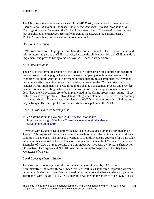The CMS website contains an overview of the MEDCAC; a guidance document entitled *Factors CMS Considers in Referring Topics to the Medicare Evidence Development & Coverage Advisory Committee*; the MEDCAC's charter; the 1998 *Federal Register* notice that established the MEDCAC (formerly known as the MCAC); the current roster of MEDCAC members; and other informational materials.

#### *Decision Memoranda*

CMS posts on its website proposed and final decision memoranda. The decision memoranda inform interested parties of CMS' analysis, describe the clinical position that CMS intends to implement, and provide background on how CMS reached its decision.

#### *NCD Implementation*

The NCD is the formal instruction to the Medicare claims processing contractors regarding how to process claims (e.g., when to pay, when not to pay, pay only when certain clinical conditions are met). Appropriate payment or other changes to accommodate the coverage decision are effective at the time a final decision is posted to the CMS website. In most instances CMS implements an NCD through the change management process and provides detailed coding and billing instructions. The instructions specify appropriate coding and detail how the NCD criteria are to be implemented in the claims processing systems. Those instructions have a specific effective date dictating when claims will be processed according to the new criteria. The contractors implement the NCD within their own jurisdictions and may subsequently develop LCDs or policy articles to supplement the NCD.

#### *Coverage with Evidence Development*

 *For information on Coverage with Evidence Development*: [http://www.cms.gov/Medicare/Coverage/Coverage-with-Evidence-](http://www.cms.gov/Medicare/Coverage/Coverage-with-Evidence-Development/index.html)[Development/index.html](http://www.cms.gov/Medicare/Coverage/Coverage-with-Evidence-Development/index.html)

Coverage with Evidence Development (CED) is a coverage decision made through an NCD. These NCDs require additional data collection, such as data collected in a clinical trial, as a condition of coverage.The purpose of CED is to provide Medicare coverage for a particular item or service and to develop evidence of its impact on the health of Medicare beneficiaries. Examples of NCDs that require CED are Continuous Positive Airway Pressure Therapy for Obstructive Sleep Apnea and NaF-18 Positron Emission Tomography to Identify Bone Metastasis of Cancer.

## **Local Coverage Determination**

The term 'local coverage determination' means a determination by a Medicare Administrative Contractor (MAC) under Part A or Part B, as applicable, regarding whether or not a particular item or service is covered on a contractor-wide basis under such parts, in accordance with  $1862(a)(1)(A)$ . LCDs may be developed in the absence of an NCD or as a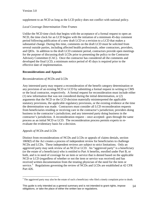supplement to an NCD as long as the LCD policy does not conflict with national policy.

# *Local Coverage Determination Time Frames*

Unlike the NCD time clock that begins with the acceptance of a formal request to open an NCD, the time clock for an LCD begins with the initiation of a minimum 45-day comment period following publication of a new draft LCD or a revision to a LCD that makes a substantial change. During this time, comments on the draft LCD must be solicited from several outside parties, including affected health professionals, other contractors, providers, and QIOs. In addition to the draft LCD comment period, contractors provide open meetings for the purpose of discussing draft LCDs prior to presenting the policy to the Contractor Advisory Committee (CAC). Once the contractor has considered all the comments and developed the final LCD, a minimum notice period of 45 days is required prior to the effective date of implementation.

# <span id="page-13-0"></span>**Reconsiderations and Appeals**

# *Reconsiderations of NCDs and LCDs*

Any interested party may request a reconsideration of the benefit category determination or any provision of an existing NCD or LCD by submitting a formal request in writing to CMS or the local contractor, respectively. A formal request for reconsideration must include either (1) new information that was not considered during the initial determination, or (2) arguments that the NCD or the LCD decision materially misinterpreted the applicable statutory provisions, the applicable regulatory provisions, or the existing evidence at the time the determination was made. Contractors must consider all LCD reconsideration requests from beneficiaries residing or receiving care in the contractor's jurisdiction; providers doing business in the contractor's jurisdiction; and any interested party doing business in the contractor's jurisdiction. A reconsideration request – once accepted– goes through the same process as an initial NCD or LCD. The reconsideration process permits experts to reevaluate the evidentiary basis for a decision.

# *Appeals of NCDs and LCDs*

Distinct from reconsiderations of NCDs and LCDs or appeals of claims denials, section 1869(f) of the Act creates a process of independent review for beneficiaries to challenge NCDs and LCDs. These independent reviews are subject to strict limitations. Only an aggrieved party may seek review of an NCD or LCD. An "aggrieved party" is a beneficiary (or the estate of a beneficiary) who is entitled to Part A benefits, enrolled under Part B, or both, and is in need of coverage for an item or service that is denied based on the applicable NCD or LCD (regardless of whether or not the item or service was received) and has received written documentation from the treating physician of the need for the item or service.<sup>[3](#page-13-1)</sup> Regulations governing the review of NCDs and LCDs are established at 42 CFR Part 426.

<span id="page-13-1"></span> $\overline{a}$ <sup>3</sup> The aggrieved party may also be the estate of such a beneficiary who filed a timely complaint prior to death.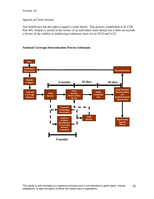## Version 3.0

#### *Appeals of Claim Denials*

Any beneficiary has the right to appeal a claim denial. This process, established at 42 CFR Part 405, Subpart I, results in the review of an individual claim denial, but it does not include a review of the validity or underlying evidentiary basis for an NCD and LCD.

#### <span id="page-14-0"></span>**National Coverage Determination Process Schematic**

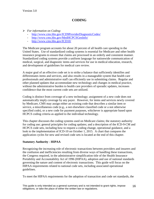# **CODING**

- <span id="page-15-0"></span> *For information on Coding*:
	- <http://www.cms.hhs.gov/ICD9ProviderDiagnosticCodes/>
	- <http://www.cms.hhs.gov/MedHCPCSGenInfo/>
	- <http://www.cms.hhs.gov/ICD10/>

The Medicare program accounts for about 20 percent of all health care spending in the United States. Use of standardized coding systems is essential for Medicare and other health insurance programs to ensure that claims are processed in an orderly and consistent manner. Standardized coding systems provide a uniform language for nationwide communication of medical, surgical, and diagnostic items and services for use in medical education, research, and development of guidelines for medical care review.

A major goal of an effective code set is to strike a balance that sufficiently identifies and differentiates items and services, and also results in a manageable system that health care professionals and administrative staff can efficiently use in submitting claims. Regular and other planned updates that accommodate new technology and changes in medical practice, without the administrative burden to health care providers of sporadic updates, increases confidence that the most current code sets are utilized.

Coding is distinct from coverage of a new technology; assignment of a new code does not automatically imply coverage by any payer. However, for items and services newly covered by Medicare, CMS may assign either an existing code that describes a similar item or service, a miscellaneous code (e.g., a not elsewhere classified code or a not otherwise specified code), or a new code for payment purposes, whichever is appropriate based upon HCPCS coding criteria as applied to the individual technology.

This chapter discusses the coding systems used on Medicare claims; the statutory authority for coding use; general principles for coding updates; and a description of the ICD-9-CM and HCPCS code sets, including how to request a coding change, operational guidance, and a look to the implementation of ICD-10 on October 1, 2015. A chart that compares the application cycles for new and revised code sets is located at the end of this chapter.

## <span id="page-15-1"></span>**Statutory Authority - HIPAA**

Recognizing the increasing role of electronic transactions between providers and insurers and the confusion and inefficiencies resulting from diverse ways of handling these transactions, the Congress required, in the administrative simplification title of the Health Insurance Portability and Accountability Act of 1996 (HIPAA), adoption and use of national standards governing the nature and content of electronic transactions. This guide will focus on the HIPAA requirements related to national code sets, including associated operational guidelines.

To meet the HIPAA requirements for the adoption of transaction and code set standards, the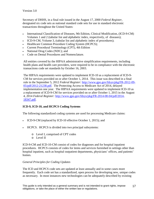Secretary of DHHS, in a final rule issued in the August 17, 2000 *Federal Register*, designated six code sets as national standard code sets for use in standard electronic transactions throughout the United States:

- International Classification of Diseases, 9th Edition, Clinical Modification, (ICD-9-CM) Volumes 1 and 2 (tabular list and alphabetic index, respectively, of diseases);
- ICD-9-CM, Volume 3, (tabular list and alphabetic index of procedures);
- Healthcare Common Procedure Coding System (HCPCS);
- Current Procedural Terminology (CPT), 4th Edition
- National Drug Codes (NDC); and
- Code on Dental Procedures and Nomenclature.

All entities covered by the HIPAA administrative simplification requirements, including health plans and health care providers, were required to be in compliance with the electronic transactions code set standards by October 16, 2003.

The HIPAA requirements were updated to implement ICD-10 as a replacement of ICD-9- CM for services provided on or after October 1, 2014. This issue was described in a final rule in the September 5, 2012 *Federal Register:* [http://www.gpo.gov/fdsys/pkg/FR-2012-09-](http://www.gpo.gov/fdsys/pkg/FR-2012-09-05/pdf/2012-21238.pdf) [05/pdf/2012-21238.pdf.](http://www.gpo.gov/fdsys/pkg/FR-2012-09-05/pdf/2012-21238.pdf)The Protecting Access to Medicare Act of 2014, delayed implementation one year. The HIPAA requirements were updated to implement ICD-10 as a replacement of ICD-9-CM for services provided on or after October 1, 2015 in the August 4, 2014 *Federal Register:* [http://www.gpo.gov/fdsys/pkg/FR-2014-08-04/pdf/2014-](http://www.gpo.gov/fdsys/pkg/FR-2014-08-04/pdf/2014-18347.pdf) [18347.pdf.](http://www.gpo.gov/fdsys/pkg/FR-2014-08-04/pdf/2014-18347.pdf)

# <span id="page-16-0"></span>**ICD-9, ICD-10, and HCPCS Coding Systems**

The following standardized coding systems are used for processing Medicare claims:

- ICD-9-CM (replaced by ICD-10 effective October 1, 2015); and
- HCPCS. HCPCS is divided into two principal subsystems:
	- o Level I, comprised of CPT codes
	- o Level II

ICD-9-CM and ICD-10-CM consist of codes for diagnoses and for hospital inpatient procedures. HCPCS consists of codes for items and services furnished in settings other than hospital inpatient, such as hospital outpatient departments, physicians' offices, and patients' homes.

## *General Principles for Coding Updates*

The ICD and HCPCS code sets are updated at least annually and in some cases more frequently. Each code set has a standardized, open process for developing new, unique codes as necessary. In most instances new technologies can be adequately described by existing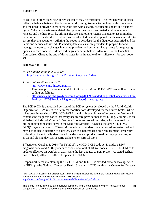codes, but in other cases new or revised codes may be warranted. The frequency of updates reflects a balance between the desire to rapidly recognize new technology within code sets and the need to provide users of the code sets with a stable, predictable update and business cycle. When code sets are updated, the updates must be disseminated, coding manuals revised, and medical records, billing software, and other systems changed to accommodate the new and revised codes. Coders must be educated on and prepared for changes in codes to ensure they are accurately utilizing the codes to best describe the diagnoses identified and the items and services delivered. Planned update cycles allow providers to prepare for and manage the necessary changes in coding practices and systems. The process for requesting updates to each code set is described in greater detail below. Also, refer to the Code Set Comparison Chart at the end of this chapter for a timetable of key milestones for each code set.

# <span id="page-17-0"></span>**ICD-9 and ICD-10**

- *For information on ICD-9-CM*: <http://www.cms.hhs.gov/ICD9ProviderDiagnosticCodes/>
- *For information on ICD-10*:
	- <http://www.cms.hhs.gov/ICD10/> This page provides annual updates to ICD-10-CM and ICD-10-PCS as well as official coding guidelines.
	- [http://www.cms.hhs.gov/Medicare/Coding/ICD9ProviderDiagnosticCodes/index.html](http://www.cms.hhs.gov/Medicare/Coding/ICD9ProviderDiagnosticCodes/index.html?redirect=/ICD9ProviderDiagnosticCodes/03_meetings.asp) [?redirect=/ICD9ProviderDiagnosticCodes/03\\_meetings.asp](http://www.cms.hhs.gov/Medicare/Coding/ICD9ProviderDiagnosticCodes/index.html?redirect=/ICD9ProviderDiagnosticCodes/03_meetings.asp)

The ICD-9-CM is a modified version of the ICD-9 system developed by the World Health Organization. CM refers to a "clinical modification" developed for the United States, where it has been in use since 1979. ICD-9-CM contains three volumes of information. Volume 1 contains the diagnosis codes that every health care provider needs for billing. Volume 2 is an alphabetical index of Volume 1. Volume 3 contains procedure codes, which are used for billing inpatient hospital stays in the Medicare Severity-Diagnosis Related Group (MS- $DRG$ <sup>[4](#page-17-1)</sup> payment system. ICD-9-CM procedure codes describe the procedure performed and may also indicate insertion of a device, such as a pacemaker or hip replacement. Procedure codes do not specifically describe all the devices and products used during a procedure, such as wound closing devices, specific catheters, or surgical tools.

Effective on October 1, 2014 (for FY 2015), the ICD-9-CM code set includes 14,567 diagnosis codes and 3,882 procedure codes, or a total of 18,449 codes. The ICD-9-CM code updates effective on October 1, 2014 were the last updates to ICD-9-CM. As stated earlier, on October 1, 2015, ICD-10 will replace ICD-9-CM.

Responsibility for maintaining the ICD-9-CM and ICD-10 is divided between two agencies in HHS: (1) the National Center for Health Statistics (NCHS) within the Centers for Disease

<span id="page-17-1"></span> $\overline{a}$ <sup>4</sup> MS-DRGs are discussed in greater detail in the Payment chapter and also in the Acute Inpatient Prospective Payment System Fact Sheet located on the CMS website: [http://www.cms.hhs.gov/MLNProducts/downloads/AcutePaymtSysfctsht.pdf.](http://www.cms.hhs.gov/MLNProducts/downloads/AcutePaymtSysfctsht.pdf)

This guide is only intended as a general summary and is not intended to grant rights, impose This guide is only intended as a general summary and is not intended to grant rights, impose  $18$ <br>obligations, or take the place of either the written law or regulations.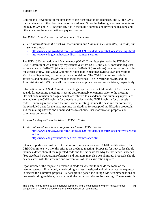Control and Prevention for maintenance of the classification of diagnoses, and (2) the CMS for maintenance of the classification of procedures. Since the federal government maintains the ICD-9-CM and ICD-10 code set, it is in the public domain, and providers, insurers, and others can use the system without paying user fees.

# *The ICD-10 Coordination and Maintenance Committee*

- *For information on the ICD-10 Coordination and Maintenance Committee, addenda, and summary reports*:
	- <http://www.cms.gov/Medicare/Coding/ICD9ProviderDiagnosticCodes/meetings.html>
	- [http://www.cdc.gov/nchs/icd/icd9cm\\_maintenance.htm](http://www.cdc.gov/nchs/icd/icd9cm_maintenance.htm)

The ICD-10 Coordination and Maintenance (C&M) Committee (formerly the ICD-9-CM C&M Committee), co-chaired by representatives from NCHS and CMS, considers requests to create new ICD-10-CM (diagnosis) and ICD-10-PCS (procedures) codes or to revise codes for greater utility. The C&M Committee holds public meetings twice a year, generally in March and September, to discuss proposed revisions. The C&M Committee's role is advisory, and no decisions are made at these meetings. The Director of NCHS and the Administrator of CMS make all final diagnosis and procedure coding decisions, respectively.

Information on the C&M Committee meetings is posted on the CMS and CDC websites. The agenda for upcoming meetings is posted approximately one month prior to the meeting. Official code revision packages, which are referred to as addenda, and summary reports are available on the CMS website for procedure codes and the NCHS website for diagnosis codes. Summary reports from the most recent meeting include the deadline for comments, the scheduled dates for the next meeting, the deadline for receipt of modification proposals, and the mailing address and e-mail address to submit either modification proposals or comments on proposals.

# *Process for Requesting a Revision to ICD-10 Codes*

- *For information on how to request new/revised ICD-10codes:* 
	- [http://www.cms.gov/Medicare/Coding/ICD9ProviderDiagnosticCodes/newrevisedcod](http://www.cms.gov/Medicare/Coding/ICD9ProviderDiagnosticCodes/newrevisedcodes.html) [es.html](http://www.cms.gov/Medicare/Coding/ICD9ProviderDiagnosticCodes/newrevisedcodes.html)
	- [http://www.cdc.gov/nchs/icd/icd9cm\\_maintenance.htm](http://www.cdc.gov/nchs/icd/icd9cm_maintenance.htm)

Interested parties are instructed to submit recommendations for ICD-10 modification to the C&M Committee two months prior to a scheduled meeting. Proposals for new codes should include a description of the requested code and the rationale for why the new code is needed. [See side box.] Supporting references and literature may also be submitted. Proposals should be consistent with the structure and conventions of the classification system.

Upon review of the request, a decision is made on whether to include the topic on the meeting agenda. If included, a lead coding analyst is assigned and will contact the requestor to discuss the submitted proposal. A background paper, including CMS recommendations on proposed coding revisions, is shared with the requestor prior to the meeting. The requestor is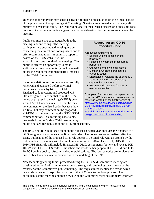given the opportunity (or may select a speaker) to make a presentation on the clinical nature of the procedure at the upcoming C&M meeting. Speakers are allowed approximately 20 minutes to present the topic. The lead coding analyst then leads a discussion of possible code revisions, including alternative suggestions for consideration. No decisions are made at the meeting.

Public comments are encouraged both at the meetings and in writing. The meeting participants are encouraged to ask questions concerning the clinical and coding issues and to offer recommendations. A summary report is posted on the CMS website within approximately one month of the meeting. The public is offered an opportunity to make additional written comments by mail or e-mail before the end of the comment period imposed by the C&M Committee.

Recommendations and comments are carefully reviewed and evaluated before any final decisions are made by NCHS or CMS. Finalized code revisions and proposed MS-DRG assignments are published in the IPPS notice of proposed rulemaking (NPRM) on or around April 1 of each year. The public may not comment on the listed codes because they are final, but may comment on the proposed MS-DRG assignments during the IPPS NPRM comment period. Due to timing constraints, proposals from the Spring C&M meeting may

## **Request for an ICD-10 Procedure Code**

A request should include:

- Background information on the procedure
- Patients on whom the procedure is performed
- Outcomes and any complications
- Manner in which the procedure is currently coded
- Discussion of reasons the existing ICD-10-PCS codes do not adequately capture the procedure
- Recommended options for new or revised code titles

Examples of procedure code papers can be found in C&M meeting materials of previous meetings located on the CMS website at [http://www.cms.hhs.gov/Medicare/Coding/I](http://www.cms.hhs.gov/Medicare/Coding/ICD9ProviderDiagnosticCodes/ICD-9-CM-C-and-M-Meeting-Materials.html?DLSort=0&DLEntries=10&DLPage=1&DLSortDir=descending) [CD9ProviderDiagnosticCodes/ICD-9-CM-](http://www.cms.hhs.gov/Medicare/Coding/ICD9ProviderDiagnosticCodes/ICD-9-CM-C-and-M-Meeting-Materials.html?DLSort=0&DLEntries=10&DLPage=1&DLSortDir=descending)[C-and-M-Meeting-](http://www.cms.hhs.gov/Medicare/Coding/ICD9ProviderDiagnosticCodes/ICD-9-CM-C-and-M-Meeting-Materials.html?DLSort=0&DLEntries=10&DLPage=1&DLSortDir=descending)[Materials.html?DLSort=0&DLEntries=10&D](http://www.cms.hhs.gov/Medicare/Coding/ICD9ProviderDiagnosticCodes/ICD-9-CM-C-and-M-Meeting-Materials.html?DLSort=0&DLEntries=10&DLPage=1&DLSortDir=descending) [LPage=1&DLSortDir=descending](http://www.cms.hhs.gov/Medicare/Coding/ICD9ProviderDiagnosticCodes/ICD-9-CM-C-and-M-Meeting-Materials.html?DLSort=0&DLEntries=10&DLPage=1&DLSortDir=descending)

not be finalized for inclusion in the IPPS proposed rule.

The IPPS final rule, published on or about August 1 of each year, includes the finalized MS-DRG assignments and repeats the finalized codes. The codes that were finalized after the spring publication of the proposed IPPS rule appear in the final rule with an asterisk by the code number. Beginning with the implementation of ICD-10 on October 1, 2015, the FY 2016 IPPS final rule will include finalized MS-DRGs assignments for new and revised ICD-10-CM and ICD-10-PCS codes. Publishers and vendors then prepare ICD-10-CM and ICD-10-PCS coding books, software, and other publications. The revised codes are implemented on October 1 of each year to coincide with the updating of the IPPS.

New technology coding topics presented during the Fall C&M Committee meeting are considered for an April 1 implementation if a strong and convincing case is made by the requester at the Committee's public meeting. The request must identify the reason why a new code is needed in April for purposes of the IPPS new technology process. The participants at the meeting and those reviewing the Committee meeting summary report are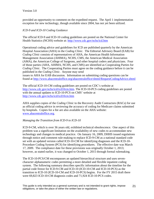provided an opportunity to comment on the expedited request. The April 1 implementation exception for new technology, though available since 2004, has not yet been utilized.

## *ICD-9 and ICD-10 Coding Guidance*

The official ICD-9 and ICD-10 coding guidelines are posted on the National Center for Health Statistics (NCHS) website at: <http://www.cdc.gov/nchs/icd.htm>

Operational coding advice and guidelines for ICD are published quarterly by the American Hospital Association (AHA) in the *Coding Clinic.* The Editorial Advisory Board (EAB) for *Coding Clinic* consists of representatives of AHA, the American Health Information Management Association (AHIMA), NCHS, CMS, the American Medical Association (AMA), the American College of Surgeons, and other hospital coders and physicians. Four of those parties (AHA, AHIMA, NCHS, and CMS) are identified as Cooperating Parties for *Coding Clinic*. The Cooperating Parties must agree on the coding guidance before it can be published in the *Coding Clinic*. Anyone may send issues to AHA for EAB discussion. Information on submitting coding questions can be found at<http://www.ahacentraloffice.org/ahacentraloffice/shtml/RequestCodingAdvice.shtml>

The official ICD-10-CM coding guidelines are posted on CDC's website at [http://www.cdc.gov/nchs/icd/icd10cm.htm.](http://www.cdc.gov/nchs/icd/icd10cm.htm) The ICD-10-PCS coding guidelines are posted with the annual updates to ICD-10-PCS on CMS' website at <http://www.cdc.gov/nchs/icd/icd10cm.htm>

AHA supplies copies of the *Coding Clinic* to the Recovery Audit Contractors (RACs) for use as official coding advice in reviewing the accuracy of coding for Medicare claims submitted by hospitals. Copies for a fee are also available on the AHA website: [www.ahacentraloffice.org.](http://www.ahacentraloffice.org/)

## *Managing the Transition from ICD-9 to ICD-10*

ICD-9-CM, which is over 36 years old, exhibited technical obsolescence. One aspect of this problem was a significant limitation on the availability of new codes to accommodate new technology and changes in medical practice. On January 16, 2009, DHHS issued regulations through notice and comment rule-making to replace ICD-9-CM as a national standard code set with an updated version called ICD-10-CM for identifying diagnoses and the ICD-10- Procedure Coding System (PCS) for identifying procedures. The effective date was March 17, 2009. The compliance date for these provisions was originally October 1, 2013; however, as stated earlier, it was changed to October 1, 2015 through formal rulemaking.

The ICD-10-PCS/CM encompasses an updated hierarchical structure and uses sevencharacter alphanumeric codes permitting a more detailed and flexible inpatient coding system. The following summary describes specific information about the timeline for the partial code freeze for ICD-9-CM and ICD-10 (ICD-10-CM and ICD-10-PCS) as the transition to ICD-10 (ICD-10-CM and ICD-10-PCS) begins. For the FY 2015 draft there were 69,823 ICD-10-CM diagnosis codes and 71,924 ICD-10-PCS codes.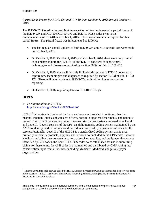*Partial Code Freeze for ICD-9-CM and ICD-10 from October 1, 2012 through October 1, 2015* 

The ICD-9-CM Coordination and Maintenance Committee implemented a partial freeze of the ICD-9-CM and ICD-10 (ICD-10-CM and ICD-10-PCS) codes prior to the implementation of ICD-10 on October 1, 2015. There was considerable support for this partial freeze. The partial freeze was implemented as follows:

- The last regular, annual updates to both ICD-9-CM and ICD-10 code sets were made on October 1, 2011.
- On October 1, 2012, October 1, 2013, and October 1, 2014, there were only limited code updates to both the ICD-9-CM and ICD-10 code sets to capture new technologies and diseases as required by section 503(a) of Pub. L. 108-173.
- On October 1, 2015, there will be only limited code updates to ICD-10 code sets to capture new technologies and diagnoses as required by section 503(a) of Pub. L. 108- 173. There will be no updates to ICD-9-CM, as it will no longer be used for reporting.
- On October 1, 2016, regular updates to ICD-10 will begin.

# <span id="page-21-0"></span>**HCPCS**

 *For information on HCPCS*: <http://www.cms.gov/MedHCPCSGenInfo/>

 $HCPCS<sup>5</sup>$  $HCPCS<sup>5</sup>$  $HCPCS<sup>5</sup>$  is the standard code set for items and services furnished in settings other than hospital inpatient, such as physicians' offices, hospital outpatient departments, and patients' homes. The HCPCS code set is divided into two principal subsystems, referred to as Level I and Level II. Level I consists of the CPT, an alpha-numeric coding system maintained by the AMA to identify medical services and procedures furnished by physicians and other health care professionals. Level II of the HCPCS is a standardized coding system that is used primarily to identify products, supplies, and services not included in the CPT codes. Because Medicare and other insurers cover a variety of services, supplies, and equipment that are not identified by CPT codes, the Level II HCPCS codes were established for use in submitting claims for these items. Level II codes are maintained and distributed by CMS, taking into consideration input from all insurers including Medicare, Medicaid, and private payer organizations.

<span id="page-21-1"></span> $\overline{a}$ <sup>5</sup> Prior to 2001, this code set was called the HCFA Common Procedure Coding System after the previous name of the Agency. In 2001, the former Health Care Financing Administration (HCFA) became the Centers for Medicare & Medicaid Services.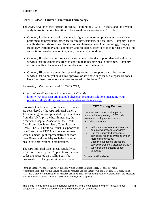# <span id="page-22-0"></span>**Level I HCPCS - Current Procedural Terminology**

The AMA developed the Current Procedural Terminology (CPT) in 1966, and the version currently in use is the fourth edition. There are three categories of CPT codes:

- Category I codes consist of five numeric digits and represent procedures and services performed by physicians, other health care professionals, and facilities. Category I codes are divided into six sections: Evaluation and Management; Anesthesiology; Surgery; Radiology; Pathology and Laboratory; and Medicine. Each section is further divided into subsections based on anatomic system, procedure or condition.
- Category II codes are performance measurement codes that support data collection for services that are generally agreed to contribute to positive health outcomes. Category II codes have five characters – four numbers and then the letter F.
- Category III codes are emerging technology codes that support data collection for services that do not yet have FDA approval or are not widely used. Category III codes have five characters – four numbers followed by the letter  $T<sup>6</sup>$  $T<sup>6</sup>$  $T<sup>6</sup>$

# *Requesting a Revision to Level I HCPCS (CPT)*

 *For information on how to apply for a CPT code*: [http://www.ama-assn.org/ama/pub/physician-resources/solutions-managing-your](http://www.ama-assn.org/ama/pub/physician-resources/solutions-managing-your-practice/coding-billing-insurance/cpt/applying-cpt-codes.page)[practice/coding-billing-insurance/cpt/applying-cpt-codes.page](http://www.ama-assn.org/ama/pub/physician-resources/solutions-managing-your-practice/coding-billing-insurance/cpt/applying-cpt-codes.page)

Proposals to add, modify, or delete CPT codes are considered by the CPT Editorial Panel, a 17-member group comprised of representatives from the AMA, private health insurers, the American Hospital Association, the Health Care Professionals Advisory Committee, and CMS. The CPT Editorial Panel is supported in its efforts by the CPT Advisory Committee, which is made up of representatives of more than 90 medical specialty societies and other health care professional organizations.

The CPT Editorial Panel meets regularly, at least three times a year. Applications for new codes are accepted on a rolling basis but proposed CPT changes must be received at

 $\overline{a}$ 

# **CPT Coding Request**

The AMA recommends that parties interested in requesting a CPT code answer several questions before submitting a request:

- Is the suggestion a fragmentation of an existing procedure/service?
- Can the suggested procedure / service be reported by using two or more existing codes?
- Does the suggested procedure / service represent a distinct service?
- Why aren't the existing codes adequate?

Source: AMA website

<span id="page-22-1"></span> $6$  Unlike Category I codes, the AMA Relative Value Update Committee (RUC) does not make recommendations for relative values relation to resource use for Category II and Category III Codes. (The AMA RUC provides information on resource use to be used in establishing relative weights under the Medicare Physician Fee Schedule, which is described in the Payment chapter.)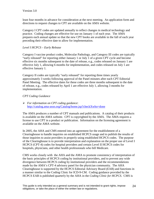least four months in advance for consideration at the next meeting. An application form and directions to request changes to CPT are available on the AMA website.

Category I CPT codes are updated annually to reflect changes in medical technology and practice. Coding changes are effective for use on January 1 of each year. The AMA prepares each annual update so that the new CPT books are available in the fall of each year preceding their effective date to allow for implementation.

#### *Level I HCPCS – Early Release*

Category I vaccine product codes, Molecular Pathology, and Category III codes are typically "early released" for reporting either January 1 or July 1 of a given CPT cycle and become effective six months subsequent to the date of release, e.g., codes released on January 1 are effective July 1, allowing 6 months for implementation, and codes released on July 1 are effective January 1.

Category II codes are typically "early released" for reporting three times yearly approximately 3 weeks following approval of the Panel minutes after each CPT Editorial Panel Meeting. The effective dates for these codes are three months subsequent to the date of release, e.g., codes released by April 1 are effective July 1, allowing 3 months for implementation.

#### *CPT Coding Guidance*

 *For information on CPT coding guidance*: <http://catalog.ama-assn.org/Catalog/home.jsp?checkXwho=done>

The AMA produces a number of CPT manuals and publications. A catalog of their products is available on the AMA website. CPT is copyrighted by the AMA. The AMA requires a license to use CPT in a product or publication. Information on the licensing agreement is available on the AMA website.

In 2005, the AHA and CMS entered into an agreement for the establishment of a Clearinghouse to handle inquiries on established HCPCS usage and to publish the results of those inquiries to assist providers in properly using established HCPCS codes. The purpose of the Clearinghouse is to provide interpretation and explanation on the proper use of Level I HCPCS (CPT-4) codes for hospital providers and certain Level II HCPCS codes for hospitals, physicians, and other health professionals who bill Medicare.

CMS works closely with the AHA and the AMA to promote consistency of interpretation of the basic principles of HCPCS coding by institutional providers, and to prevent any wide divergence between HCPCS coding by institutional providers and the recommendations made by the AMA's CPT-4 advisory panel for the physician community. The AHA Clearinghouse is supported by the HCPCS Editorial Advisory Board (EAB) and functions in a manner similar to the Coding Clinic for ICD-9-CM. Coding guidance provided by the HCPCS EAB is published quarterly by the AHA in the *Coding Clinic for HCPCS.* CMS is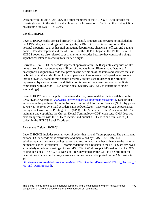working with the AHA, AHIMA, and other members of the HCPCS EAB to develop the Clearinghouse into the kind of valuable resource for users of HCPCS that the Coding Clinic has become for ICD-9-CM users.

# <span id="page-24-0"></span>**Level II HCPCS**

Level II HCPCS codes are used primarily to identify products and services not included in the CPT codes, such as drugs and biologicals, or DMEPOS used in settings other than hospital inpatient, such as hospital outpatient departments, physicians' offices, and patients' homes. The development and use of Level II of the HCPCS began in the 1980's. Level II HCPCS codes are also referred to as alpha-numeric codes because they consist of a single alphabetical letter followed by four numeric digits.

Currently, Level II HCPCS codes represent approximately 5,500 separate categories of like items or services that encompass millions of products from different manufacturers. A descriptor is assigned to a code that provides the definition of the items and services that can be billed using that code. To avoid any appearance of endorsement of a particular product through HCPCS, brand or trade names generally are not used to describe the products represented by a code unless brand distinction is deemed necessary in order to facilitate compliance with Section 1847A of the Social Security Act, (e.g., as it pertains to singlesource drugs).

Level II HCPCS are in the public domain and a free, downloadable file is available on the CMS HCPCS website at www.cms. gov/Medicare/Coding/medhcpcsgeninfo. Tape or disk versions can be purchased from the National Technical Information Service (NTIS) by phone at 703-487-4650 or by e-mail at orders@ntis.fedworld.gov. Paper copies can be purchased through the Government Printing Office (GPO). The American Dental Association (ADA) maintains and copyrights the Current Dental Terminology (CDT) code sets. CMS does not have an agreement with the ADA to include and publish CDT codes or dental codes (D codes) in the HCPCS Level II code set.

## *Permanent National HCPCS*

Level II HCPCS includes several types of codes that have different purposes. The permanent national HCPCS code set is distributed and maintained by CMS. The CMS HCPCS Workgroup considers each coding request and recommends whether a change to the national permanent codes is warranted. Recommendations for a revision to the HCPCS are reviewed at regularly scheduled meetings of the CMS HCPCS Workgroup. CMS makes final HCPCS coding decisions. The HCPCS Decision Tree, developed by the CTI, is a helpful tool for determining if a new technology warrants a unique code and is posted on the CMS website at:

[http://www.cms.gov/Medicare/Coding/MedHCPCSGenInfo/Downloads/HCPCS\\_Decision\\_T](http://www.cms.gov/Medicare/Coding/MedHCPCSGenInfo/Downloads/HCPCS_Decision_Tree_and_Definitions.pdf) [ree\\_and\\_Definitions.pdf.](http://www.cms.gov/Medicare/Coding/MedHCPCSGenInfo/Downloads/HCPCS_Decision_Tree_and_Definitions.pdf)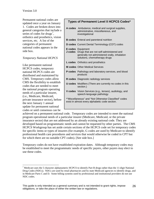Permanent national codes are updated once a year on January 1. Codes are broken down into general categories that include a series of codes for drugs<sup>[7](#page-25-0)</sup>, orthotics and prosthetics, vision services, etc. A list of the categories of permanent national codes appears in the side box.

## *Temporary National HCPCS*

Like permanent national HCPCS codes, temporary national HCPCS codes are distributed and maintained by CMS. Temporary codes allow CMS the flexibility to establish codes that are needed to meet the national program operating needs of a particular insurer, (i.e., Medicare, Medicaid, private insurance sector), before the next January 1 annual update for permanent national codes or until consensus can be

 $\overline{a}$ 

## **Types of Permanent Level II HCPCS Codes\***

| A codes Ambulance, medical and surgical supplies,<br>administrative, miscellaneous, and<br>investigational                                                     |  |  |
|----------------------------------------------------------------------------------------------------------------------------------------------------------------|--|--|
| <b>B codes</b> Enteral and parenteral nutrition                                                                                                                |  |  |
| <b>D codes</b> Current Dental Terminology (CDT) codes                                                                                                          |  |  |
| <b>E codes</b> Equipment<br>J codes Drugs that are not self-administered and<br>generally not administered orally, inhalation<br>solutions, chemotherapy drugs |  |  |
| L codes Orthotics and prosthetics                                                                                                                              |  |  |
| <b>M codes</b> Other Medical Services                                                                                                                          |  |  |
| <b>P codes</b> Pathology and laboratory services, and blood<br>products                                                                                        |  |  |
| <b>R</b> codes Diagnostic radiology services                                                                                                                   |  |  |
| <b>U codes</b> Modifiers (There are currently no codes in this<br>section.)                                                                                    |  |  |
| V codes Vision Services (e.g., lenses), audiology, and<br>speech-language pathology                                                                            |  |  |
| "Miscellaneous" and "Not Otherwise Classified" codes<br>exist in almost every alphabetic code section.                                                         |  |  |

achieved on a permanent national code. Temporary codes are intended to meet the national program operational needs of a particular insurer (Medicare, Medicaid, or the private insurance sector) that are not addressed by an already existing national code. They are developed based on programmatic needs and cannot be requested by other parties. The CMS HCPCS Workgroup has set aside certain sections of the HCPCS code set for temporary codes for specific items or types of insurers (for example, G codes are used by Medicare to identify professional health care procedures and services that would otherwise be coded in CPT but for which there are no suitable CPT codes). [See side box.]

Temporary codes do not have established expiration dates. Although temporary codes may be established to meet the programmatic needs of specific payers, other payers may elect to use these codes.

<span id="page-25-0"></span><sup>7</sup> Medicare uses the 5 character alphanumeric HCPCS to identify Part B drugs rather than the 11-digit National Drug Codes (NDCs). NDCs are used by retail pharmacies and by state Medicaid agencies to identify drugs, and in Medicare Parts C and D. Some billing systems used by professional and institutional providers do not use NDC codes.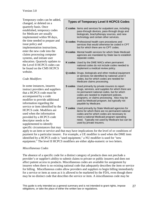Temporary codes can be added, changed, or deleted on a quarterly basis. Once established, temporary codes for Medicare are usually implemented within 90 days, the time needed to prepare and issue policy and implementation instructions, enter the new code into the claims processing computer systems, and initiate user education. Quarterly updates to the Level II HCPCS codes can be found on the CMS HCPCS website.

# *Code Modifiers*

In some instances, insurers instruct providers and suppliers that a HCPCS code must be accompanied by a code modifier to provide additional information regarding the service or item identified by the HCPCS code. Modifiers are used when the information provided by a HCPCS code descriptor needs to be supplemented to identify specific circumstances that may

# **Types of Temporary Level II HCPCS Codes**

- **C codes** Items and services for outpatient use, including pass-through devices, pass-through drugs and biologicals, brachytherapy sources, and new technology and certain other services.
- **G codes** Professional health care procedures and services that would otherwise be coded in CPT but for which there are no CPT codes.
- **H codes** Mental health services for which State Medicaid agencies are mandated by State law to establish separate codes.
- **K codes** Used by the DME MACs when permanent national codes do not include codes needed to implement a medical review policy.
- **Q codes** Drugs, biologicals and other medical equipment or services not identified by national Level II codes, but for which codes are needed for Medicare claims processing.
- **S codes** Used primarily by private insurers to report drugs, services, and supplies for which there are no permanent national codes, but for which codes are needed to implement policies, programs, or claims processing. Also may be used by Medicaid program, but typically not payable by Medicare.
- **T codes** Used primarily by State Medicaid agencies for items for which there are no permanent national codes and for which codes are necessary to meet a national Medicaid program operating need. Typically not used by Medicare but can be used by private insurers.

apply to an item or service and that may have implications for the level of or conditions of payment for a particular insurer. For example, a UE modifier is used when the DME item identified by a HCPCS code is "used equipment," a NU modifier is used for "new equipment." The level II HCPCS modifiers are either alpha-numeric or two letters.

# *Miscellaneous Codes*

The absence of a specific code for a distinct category of products does not preclude a provider's or supplier's ability to submit claims to private or public insurers and does not affect patient access to products. Miscellaneous codes are available for assignment by insurers when there is no existing national code that adequately describes the item or service for billing. Miscellaneous codes allow providers and suppliers to begin billing immediately for a service or item as soon as it is allowed to be marketed by the FDA, even though there may be no distinct code that describes the service or item. A miscellaneous code may be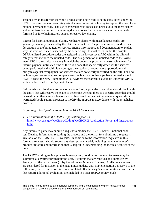assigned by an insurer for use while a request for a new code is being considered under the HCPCS review process, permitting establishment of a claims history to support the need for a national permanent code. The use of miscellaneous codes also helps avoid the inefficiency and administrative burden of assigning distinct codes for items or services that are rarely furnished or for which insurers expect to receive few claims.

Except for hospital outpatient claims, Medicare claims with miscellaneous codes are generally manually reviewed by the claims contractors. The provider must provide a clear description of the billed item or service, pricing information, and documentation to explain why the item or service is needed by the beneficiary. In most cases, under the hospital OPPS, unlisted procedure codes are assigned to the lowest level APC within the clinical category that includes the unlisted code. The assignment of an unlisted code to the lowest level APC in the clinical category in which the code falls provides a reasonable means for interim payment until such time as there is a code that specifically describes the services being performed and paid. It encourages the creation of codes where appropriate and mitigates against overpayment of services that are not clearly identified on the bill. For new technologies that encompass complete services but may not have yet been granted a specific HCPCS code, the New Technology APC payment mechanism is available under the OPPS, which is described in the Payment chapter.

Before using a miscellaneous code on a claim form, a provider or supplier should check with the entity that will receive the claim to determine whether there is a specific code that should be used rather than a miscellaneous code. Interested parties that believe a unique code is warranted should submit a request to modify the HCPCS in accordance with the established process.

## *Requesting a Modification to the Level II HCPCS Code Set*

 *For information on the HCPCS application process*: [http://www.cms.gov/Medicare/Coding/MedHCPCSApplication\\_Form\\_and\\_Instructions.](http://www.cms.gov/Medicare/Coding/MedHCPCSApplication_Form_and_Instructions.html) [html](http://www.cms.gov/Medicare/Coding/MedHCPCSApplication_Form_and_Instructions.html)

Any interested party may submit a request to modify the HCPCS Level II national code set. Detailed information regarding the process and the format for submitting a request is available on the CMS HCPCS website. In addition to the information requested in this format, a requestor should submit any descriptive material, including the manufacturer's product literature and information that is helpful in understanding the medical features of the item.

The HCPCS coding review process is an ongoing, continuous process. Requests may be submitted at any time throughout the year. Requests that are received and complete by January 3 of the current year (or by the following Monday if January 3 falls on a weekend) are considered for inclusion in the next annual update, with implementation, January 1 of the following year. Requests received or completed after January 3, and requests received earlier that require additional evaluation, are included in a later HCPCS review cycle.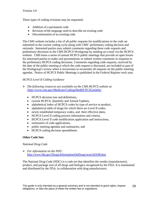Three types of coding revisions may be requested:

- Addition of a permanent code
- Revision of the language used to describe an existing code
- Discontinuation of an existing code

The CMS website includes a list of all public requests for modifications to the code set submitted in the current coding cycle along with CMS' preliminary coding decision and rationale. Interested parties may submit comments regarding these code requests and preliminary decisions to the CMS HCPCS Workgroup by sending an e-mail via the HCPCS website. CMS hosts a series of annual HCPCS public meetings that provide an open forum for interested parties to make oral presentations or submit written comments in response to the preliminary HCPCS coding decisions. Comments regarding code requests, received by the date of the public meeting at which the code request is discussed, are included as part of the Workgroup's review when it reconvenes to reconsider all requests on the public meeting agendas. Notice of HCPCS Public Meetings is published in the *Federal Register* each year.

## *HCPCS Level II Coding Guidance*

- *The following resources are available on the CMS HCPCS website at*: /http://www.cms.gov/Medicare/Coding/MedHCPCSGenInfo/
	- HCPCS decision tree and definitions,
	- current HCPCS, Quarterly and Annual Updates,
	- alphabetical index of HCPCS codes by type of service or product,
	- alphabetical table of drugs for which there are Level II codes,
	- newly established temporary codes, and their effective dates,
	- HCPCS Level II coding process information and criteria,
	- HCPCS Level II code modification application and instructions,
	- summaries of code applications,
	- public meeting agendas and summaries, and
	- HCPCS coding decision spreadsheets.

## <span id="page-28-0"></span>**Other Code Sets**

## *National Drug Code*

 *For information on the NDC*: <http://www.fda.gov/Drugs/InformationOnDrugs/ucm142438.htm>

The National Drug Code (NDC) is a code set that identifies the vendor (manufacturer), product, and package size of all drugs and biologics recognized by the FDA. It is maintained and distributed by the FDA, in collaboration with drug manufacturers.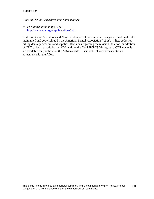*Code on Dental Procedures and Nomenclature* 

 *For information on the CDT*: <http://www.ada.org/en/publications/cdt/>

Code on Dental Procedures and Nomenclature (CDT) is a separate category of national codes maintained and copyrighted by the American Dental Association (ADA). It lists codes for billing dental procedures and supplies. Decisions regarding the revision, deletion, or addition of CDT codes are made by the ADA and not the CMS HCPCS Workgroup. CDT manuals are available for purchase on the ADA website. Users of CDT codes must enter an agreement with the ADA.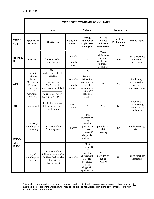<span id="page-30-0"></span>

|                              | <b>CODE SET COMPARISON CHART</b>                                                                  |                                                                                                                                                          |                                             |                                                                                                                                         |                                                                             |                                                   |                                                              |
|------------------------------|---------------------------------------------------------------------------------------------------|----------------------------------------------------------------------------------------------------------------------------------------------------------|---------------------------------------------|-----------------------------------------------------------------------------------------------------------------------------------------|-----------------------------------------------------------------------------|---------------------------------------------------|--------------------------------------------------------------|
|                              | <b>Timing</b>                                                                                     |                                                                                                                                                          |                                             | <b>Volume</b>                                                                                                                           | <b>Transparency</b>                                                         |                                                   |                                                              |
| <b>CODE</b><br><b>SET</b>    | <b>Application</b><br><b>Deadline</b>                                                             | <b>Effective Date</b>                                                                                                                                    | Length of<br>Cycle                          | Average<br>Number of<br><b>Application</b><br>s in Cycle                                                                                | <b>Provide</b><br><b>Detailed</b><br><b>Application</b><br><b>Summaries</b> | <b>Publish</b><br>Preliminary<br><b>Decisions</b> | <b>Public Input</b>                                          |
| <b>HCPCS</b><br>$\mathbf{I}$ | January 3                                                                                         | January 1 of the<br>following year                                                                                                                       | 12 months<br>Quarterly<br>Updates           | 150                                                                                                                                     | $Yes -$<br>published at<br>least 4<br>weeks prior<br>to Public<br>Meetings  | Yes                                               | <b>Public Meetings</b><br>Spring of<br>each year             |
| <b>CPT</b>                   | 3 months<br>prior to<br>May,<br>October, or<br>February<br>meeting<br>see<br>www.ama-<br>assn.org | Cat. I:<br>codes released Fall,<br>eff Jan 1<br>Cat I vaccine,<br>MoPath, or III<br>codes: Jan 1 or July 1<br>Cat II codes: Feb 15,<br>Jun 15, or Oct 15 | 15 months<br>$^{+}$<br>Quarterly<br>Updates | 200<br>(Review is<br>divided into<br>committees<br>and sub-<br>committees,<br>who report<br>back to 1<br>group)                         | N <sub>o</sub>                                                              | N <sub>o</sub>                                    | Public may<br>attend voting<br>meeting.<br>Votes are silent. |
| <b>CDT</b>                   | November 1                                                                                        | Jan 1 of second year<br>following receipt of<br>application                                                                                              | 14 to 17<br>months                          | 120                                                                                                                                     | Yes                                                                         | N <sub>o</sub>                                    | Public may<br>attend voting<br>meeting. Votes<br>are known.  |
| ICD-9                        | January (2<br>months prior<br>to meeting)                                                         | October 1 of the<br>following year                                                                                                                       | 7 months                                    | <b>CMS</b><br>processes 10<br>$-25$<br>procedure<br>applications<br><b>NCVHS</b><br>processes 25<br>diagnosis<br>applications           | $Yes -$<br>provided at<br>public<br>meeting                                 | N <sub>o</sub>                                    | <b>Public Meeting</b><br>March                               |
| And<br>$ICD-10$              | July $(2)$<br>months prior<br>to meeting)                                                         | October 1 of the<br>following year (codes<br>for New Tech can be<br>implemented in<br>following April)                                                   | 13 months                                   | <b>CMS</b><br>processes 10<br>$-25$<br>procedure<br>applications<br><b>NCVHS</b><br>processes<br>$25 - 35$<br>diagnosis<br>applications | $Yes -$<br>provided at<br>public<br>meeting                                 | N <sub>o</sub>                                    | <b>Public Meetings</b><br>September                          |

This guide is only intended as a general summary and is not intended to grant rights, impose obligations, or This guide is only intended as a general summary and is not intended to grant rights, impose obligations, or  $\;\;31$ <br>take the place of either the written law or regulations. It does not address provisions of the Patient Pr and Affordable Care Act of 2010.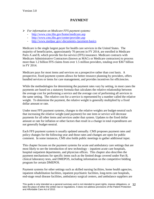# **PAYMENT**

- <span id="page-31-0"></span> *For information on Medicare FFS payment systems:* 
	- <http://www.cms.hhs.gov/home/medicare.asp>
	- <http://www.cms.hhs.gov/center/provider.asp>
	- <http://www.medpac.gov/-documents-/payment-basics>

Medicare is the single largest payer for health care services in the United States. The majority of beneficiaries, approximately 70 percent in FY 2014, are enrolled in Medicare Parts A and B, which provide fee-for-service (FFS) insurance. Medicare contracts with Medicare Administrative Contractors (known as MACs or Medicare contractors) to process more than 1.2 billion FFS claims from over 1.5 million providers, totaling over \$367 billion in FY 2014.

Medicare pays for most items and services on a prospective rather than cost basis. A prospective, fixed payment system allows for better resource planning by providers, offers bundled services or items for care management, and provides incentives for efficiencies.

While the methodologies for determining the payment rates vary by setting, in most cases the payments are based on a statutory formula that calculates the relative relationship between the average cost for performing a service and the average cost of performing all services in the same setting. The relative cost for a service is represented by a number called the relative weight. To determine the payment, the relative weight is generally multiplied by a fixed dollar amount or rate.

Under most FFS payment systems, changes to the relative weights are budget-neutral such that increasing the relative weight (and payment) for one item or service will decrease payments for all other items and services under that system. Updates to the fixed dollar amount or rate for inflation or other factors that result in a change in total expenditures are not generally budget-neutral.

Each FFS payment system is usually updated annually. CMS proposes payment rates and policy changes for the following year and those rates and changes are open for public comment. In some instances, CMS also holds public meetings to gather additional input.

This chapter focuses on the payment systems for acute and ambulatory care settings that are most likely to see the introduction of new technology – inpatient acute care hospitals, hospital outpatient departments, and physician offices. This chapter also describes the payment mechanisms for specific items such as the limited drugs covered under Part B, clinical laboratory tests, and DMEPOS, including information on the competitive bidding program for certain DMEPOS.

Payment systems for other settings such as skilled nursing facilities, home health agencies, inpatient rehabilitation facilities, inpatient psychiatric facilities, long-term care hospitals, end-stage renal disease facilities, ambulatory surgical centers, and ambulance suppliers are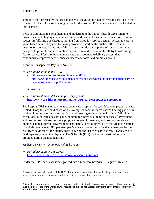similar in their prospective nature and general design to the payment systems profiled in this chapter. A chart of the rulemaking cycles for the profiled FFS payment systems is located in this chapter.

CMS is committed to strengthening and modernizing the nation's health care system to provide access to high quality care and improved health at lower cost. Our vision of future success in fulfilling this charge is moving from a fee-for-service payment system towards a value-based payment system by paying providers based on the quality rather than the quantity of services. At the end of this chapter are brief descriptions of several programs designed to promote and measurably improve care and population health by transforming fee-for-service Medicare into an integrated and accountable delivery system that continuously improves care, reduces unnecessary costs, and promotes health.

# **Inpatient Prospective Payment System**

- *For information on the IPPS*:
	- <http://www.cms.hhs.gov/AcuteInpatientPPS/>
	- [http://www.medpac.gov/documents/payment-basics/hospital-acute-inpatient-services](http://www.medpac.gov/documents/payment-basics/hospital-acute-inpatient-services-payment-system-14.pdf?sfvrsn=0)[payment-system-14.pdf?sfvrsn=0](http://www.medpac.gov/documents/payment-basics/hospital-acute-inpatient-services-payment-system-14.pdf?sfvrsn=0)

# *IPPS Payments*

 *For information on determining IPPS payment*: **[http://www.cms.hhs.gov/AcuteInpatientPPS/02\\_stepspps.asp#TopOfPage](http://www.cms.hhs.gov/AcuteInpatientPPS/02_stepspps.asp#TopOfPage)**

The hospital IPPS makes payments to acute care hospitals for each Medicare patient, or case, treated. Hospitals are paid based on the average national resource use for treating patients in similar circumstances, not the specific cost of treating each individual patient. With few exceptions, Medicare does not pay separately for individual items or services.<sup>[8](#page-32-0)</sup> Physicians and hospital staff determine the appropriate course of treatment, and hospitals receive a bundled payment for the covered inpatient facility services provided to the Medicare patient. Hospitals receive one IPPS payment per Medicare case at discharge that equates to the total Medicare payment for the facility costs of caring for that Medicare patient. Physicians are paid separately under the Physician Fee Schedule (PFS) for their professional services provided during the inpatient stay.

# *Medicare Severity – Diagnosis Related Groups*

 *For information on MS-DRGs*: <http://www.cms.hhs.gov/reports/downloads/WR434Z1.pdf>

Under the IPPS, each case is categorized into a Medicare Severity – Diagnosis Related

<span id="page-32-0"></span> $\overline{a}$ <sup>8</sup> Certain costs are paid outside of the IPPS. For example, heart, liver, lung and kidney acquisition costs incurred by an approved transplant facility are paid on a reasonable cost basis.

This guide is only intended as a general summary and is not intended to grant rights, impose obligations, or 33 take the place of either the written law or regulations. It does not address provisions of the Patient Protection and Affordable Care Act of 2010.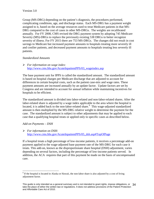Group (MS-DRG) depending on the patient's diagnosis, the procedures performed, complicating conditions, age, and discharge status. Each MS-DRG has a payment weight assigned to it, based on the average resources used to treat Medicare patients in that MS-DRG compared to the cost of cases in other MS-DRGs. The weights are recalibrated annually. For FY 2008, CMS revised the DRG payment system by adopting 745 Medicare Severity (MS)-DRGs to replace the previously existing 538 DRGs to better recognize severity of illness. For FY 2015 there are 753 MS-DRGs. The changes did not result in cost savings to Medicare but increased payment amounts to hospitals treating more severely ill and costlier patients, and decreased payment amounts to hospitals treating less severely ill patients.

# *Standardized Amounts*

 *For information on wage index*: http://www.cms.hhs.gov/AcuteInpatientPPS/03\_wageindex.asp

The base payment unit for IPPS is called the standardized amount. The standardized amount is based on hospital charges per Medicare discharge that are adjusted to account for differences in certain hospital costs, such as the patient case-mix and wage rates. These payment amounts are increased annually by an update factor. Update factors are set by Congress and are intended to account for annual inflation while maintaining incentives for hospitals to be efficient.

The standardized amount is divided into labor-related and non-labor-related shares. After the labor-related share is adjusted by a wage index applicable to the area where the hospital is located, it is added back to the non-labor-related share.<sup>[9](#page-33-0)</sup> This wage-adjusted standardized amount is then multiplied by the MS-DRG relative weight to determine the payment for the case. The standardized amount is subject to other adjustments that may be applied to each case that a qualifying hospital treats or applied only to specific cases as described below.

# *Add-on Payments – DSH*

 *For information on DSH*: [http://www.cms.hhs.gov/AcuteInpatientPPS/05\\_dsh.asp#TopOfPage](http://www.cms.hhs.gov/AcuteInpatientPPS/05_dsh.asp#TopOfPage)

If a hospital treats a high percentage of low-income patients, it receives a percentage add-on payment applied to the wage-adjusted base payment rate of the MS-DRG for each case it treats. This add-on, known as the disproportionate share hospital (DSH) adjustment, varies depending on several factors, including the percentage of low-income patients served. In addition, the ACA requires that part of this payment be made on the basis of uncompensated care.

<span id="page-33-0"></span> $\overline{a}$  $9$  If the hospital is located in Alaska or Hawaii, the non-labor share is also adjusted by a cost of living adjustment factor.

This guide is only intended as a general summary and is not intended to grant rights, impose obligations, or 34 take the place of either the written law or regulations. It does not address provisions of the Patient Protection and Affordable Care Act of 2010.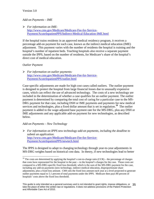## *Add-on Payments – IME*

 *For information on IME*: [http://www.cms.gov/Medicare/Medicare-Fee-for-Service-](http://www.cms.gov/Medicare/Medicare-Fee-for-Service-Payment/AcuteInpatientPPS/Indirect-Medical-Education-IME.html)[Payment/AcuteInpatientPPS/Indirect-Medical-Education-IME.html](http://www.cms.gov/Medicare/Medicare-Fee-for-Service-Payment/AcuteInpatientPPS/Indirect-Medical-Education-IME.html)

If the hospital trains residents in an approved medical residency program, it receives a percentage add-on payment for each case, known as the indirect medical education (IME) adjustment. This payment varies with the number of residents the hospital is training and the hospital's number of inpatient beds. Teaching hospitals also receive a separate payment outside the IPPS, based on the number of residents, for Medicare's share of the hospital's direct cost of medical education.

## *Outlier Payment*

 $\overline{a}$ 

 *For information on outlier payments:*  [http://www.cms.gov/Medicare/Medicare-Fee-for-Service-](http://www.cms.gov/Medicare/Medicare-Fee-for-Service-Payment/AcuteInpatientPPS/outlier.html)[Payment/AcuteInpatientPPS/outlier.html](http://www.cms.gov/Medicare/Medicare-Fee-for-Service-Payment/AcuteInpatientPPS/outlier.html)

Case-specific adjustments are made for high cost cases called outliers. The outlier payment is designed to protect the hospital from large financial losses due to unusually expensive cases, which can reflect the use of advanced technology. The costs of a new technology are included in the determination of whether a case qualifies for an outlier payment. The outlier payment is determined by comparing the total cost of caring for a particular case to the MS-DRG payment for that case, including DSH or IME payments and payments for new medical services and technologies, plus a fixed dollar amount that is set in regulation.**[10](#page-34-0)** The outlier payment is added to the wage-adjusted base payment rate for the MS-DRG, plus any DSH or IME adjustments and any applicable add-on payment for new technologies, as described below.

## *Add-on Payments – New Technology*

 *For information on IPPS new technology add-on payments, including the deadline to submit an application*: [http://www.cms.gov/Medicare/Medicare-Fee-for-Service-](http://www.cms.gov/Medicare/Medicare-Fee-for-Service-Payment/AcuteInpatientPPS/newtech.html)[Payment/AcuteInpatientPPS/newtech.html](http://www.cms.gov/Medicare/Medicare-Fee-for-Service-Payment/AcuteInpatientPPS/newtech.html)

The IPPS is designed to adapt to changing technology through year-to-year adjustments in MS-DRG weights based on historical cost data. In theory, if new technologies lead to better

<span id="page-34-0"></span><sup>&</sup>lt;sup>10</sup> The costs are determined by applying the hospital's cost-to-charge ratio (CCR) – the percentage of charges that costs have represented for the hospital in the past -- to the hospital's charges for the case. Those costs are compared to a MS-DRG-specific fixed loss threshold, which is the sum of the MS-DRG payment for the case, including any add-on payments (new technology, indirect medical education, disproportionate share adjustment), plus a fixed loss amount. CMS sets the fixed loss amount each year at a level projected to generate outlier payments equal to 5.1 percent of total payments under the IPPS. Medicare then pays 80 percent of hospitals' costs above the fixed loss threshold.

This guide is only intended as a general summary and is not intended to grant rights, impose obligations, or 35 take the place of either the written law or regulations. It does not address provisions of the Patient Protection and Affordable Care Act of 2010.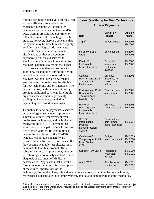care but are more expensive, or if they lead to more efficient care and are less expensive, hospitals will eventually receive appropriate payment as the MS-DRG weights are adjusted over time to reflect the impact of fluctuating costs. In practice, however, there are concerns that the system may be slow to react to rapidly evolving technological advancements. Hospitals may experience a financial disadvantage as they provide more expensive products and services to Medicare beneficiaries while waiting for MS-DRG payments to reflect the higher costs. As an incentive for hospitals to adopt new technologies during the period before their costs are recognized in the MS-DRG weights, certain new medical services or technologies may be eligible for new technology add-on payments. The new technology add-on payment policy provides additional payments for eligible high cost cases without significantly eroding the incentives provided by a payment system based on averages.

To qualify for add-on payments, a service or technology must be new, represent a substantial clinical improvement over predecessor technology, and be high cost relative to the MS-DRG payment that would normally be paid. Since it can take two to three years for reflection of cost data in the calculation of the MS-DRG weights, technologies generally are considered new for two to three years after they become available. Applicants must demonstrate that their product offers substantial clinical improvement, relative to technologies previously available, in the diagnosis or treatment of Medicare beneficiaries. Applicants must submit a formal request including a full description of the clinical applications of the

# **Items Qualifying for New Technology Add-on Payments**

| ltem                                                                              | <b>Condition</b><br><b>Treated</b>                       | Add-on<br><b>Years</b>        |
|-----------------------------------------------------------------------------------|----------------------------------------------------------|-------------------------------|
| Xigris <sup>®</sup>                                                               | Severe sepsis                                            | FY2003<br>FY2004              |
| InFuse <sup>™</sup> Bone<br>Graft                                                 | Spinal fusion                                            | FY2004<br>FY2005              |
| Kinetra®<br>Implantable<br>Neurostimulator                                        | <b>Essential</b><br>tremor and<br>Parkinson's<br>disease | FY2005<br>FY2006              |
| Cardiac<br>Resynchronization<br>Therapy with<br>Defibrillation                    | Chronic,<br>moderate to<br>severe heart<br>failure       | FY2005                        |
| <b>Endovascular Graft</b><br>Repair of the<br><b>Thoracic Aorta</b><br>(GORE TAG) | Thoracic aorta<br>aneurysms                              | FY2006<br>FY2007              |
| <b>Restore®</b><br>Rechargeable<br>Implantable<br>Neurostimulator                 | Chronic,<br>intractable pain                             | FY2006<br>FY2007              |
| X STOP<br>Interspinous<br>Process<br>Decompression<br>System                      | Back and leg<br>pain (lumbar<br>spinal stenosis)         | FY 2007                       |
| Cardiowest™<br><b>Temporary Artificial</b><br><b>Heart System</b><br>$(TAH-t)$    | <b>Bridge</b><br>heart transplant                        | FY 2009<br>FY 2010<br>FY 2011 |
| <b>Spiration IBV Valve</b>                                                        | Prolonged<br>respiratory<br>air leak                     | FY 2010<br>FY 2011            |
| AutoLITT™                                                                         | Glioblastoma<br>Multiforme                               | FY 2011<br>FY 2012            |

technology, the results of any clinical evaluations demonstrating that the new technology represents a substantial clinical improvement, and data to demonstrate that the technology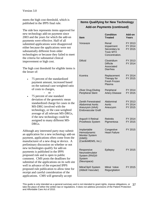meets the high cost threshold, which is published in the IPPS final rule.

The side box represents items approved for new technology add-on payment since 2003 and the years for which the add-on payments were effective. Half of all submitted applications were disapproved either because the applications were not substantially different from older technologies or because they failed to meet the criteria for substantial clinical improvement or high cost.

The high cost threshold for eligible items is the lesser of:

- 75 percent of the standardized payment amount, increased based on the national case-weighted ratio of costs to charges,
	- or -
- 75 percent of one standard deviation of the geometric mean standardized charge for cases in the MS-DRG involved with the technology, or the case-weighted average of all relevant MS-DRGs, if the new technology could be assigned to many different MS-DRGs.

Although any interested party may submit an application for a new technology add-on payment, applications often come from the manufacturer of a new drug or device. A preliminary discussion on whether or not new technologies qualify for add-on payments is published in the IPPS proposed rule and is open to public comment. CMS posts the deadlines for submittal of the applications on its web site well in advance of the expected IPPS proposed rule publication to allow time for receipt and careful consideration of the applications. CMS will generally accept

# **Items Qualifying for New Technology Add-on Payments (continued)**

| ltem                                                                                                | <b>Condition</b><br><b>Treated</b>                                        | Add-on<br>Years               |
|-----------------------------------------------------------------------------------------------------|---------------------------------------------------------------------------|-------------------------------|
| Voraxaze                                                                                            | Renal<br>Impairment<br>Secondary to<br><b>Toxic MTX</b><br>Concentration. | FY 2013<br>FY 2014<br>FY 2015 |
| <b>Dificid</b>                                                                                      | Clostridium<br><b>Difficile</b><br>Associated<br>Diarrhea                 | FY 2013<br>FY 2014            |
| Kcentra                                                                                             | Replacement<br>Therapy for<br>Fresh Frozen<br>Plasma                      | FY 2014<br>FY 2015            |
| <b>Zilver Drug Eluting</b><br><b>Peripheral Stent</b>                                               | Peripheral<br><b>Artery Disease</b>                                       | FY 2014<br>FY 2015            |
| <b>Zenith Fenestrated</b><br><b>Abdominal Aortic</b><br>Aneurysm (AAA)<br><b>Endovascular Graft</b> | Abdominal<br>Aortic<br>Aneurysm                                           | FY 2013<br>FY 2014<br>FY 2015 |
| Argus <sup>®</sup> II Retinal<br><b>Prosthesis System</b>                                           | <b>Retinitis</b><br>Pigmentosa                                            | FY 2014<br>FY 2015            |
| Implantable<br>Hemodynamic<br><b>Monitor System</b><br>(IHMS)<br>(CardioMEMS, Inc.)                 | Congestive<br><b>Heart Failure</b>                                        | FY 2015                       |
| Responsive<br>Neurostimulator<br>System (RNS) <sup>®</sup><br>System<br>(Neuropace)                 | Epilepsy                                                                  | FY 2015                       |
| MitraClip <sup>®</sup> System<br>(Abbott Vascular)                                                  | Mitral Valve<br>Regurgitation                                             | FY 2015                       |

This guide is only intended as a general summary and is not intended to grant rights, impose obligations, or take the place of either the written law or regulations. It does not address provisions of the Patient Protection and Affordable Care Act of 2010. 37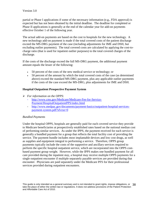partial or Phase I applications if some of the necessary information (e.g., FDA approval) is expected but has not been obtained by the initial deadline. The deadline for completed or Phase II applications is generally at the end of the calendar year for add-on payments effective October 1 of the following year.

The actual add-on payments are based on the cost to hospitals for the new technology. A new technology add-on payment is made if the total covered costs of the patient discharge exceed the MS-DRG payment of the case (including adjustments for IME and DSH, but excluding outlier payments). The total covered costs are calculated by applying the cost-tocharge ratio (that is used for inpatient outlier purposes) to the total covered charges of the discharge.

If the costs of the discharge exceed the full MS-DRG payment, the additional payment amount equals the lesser of the following:

- 50 percent of the costs of the new medical service or technology; or
- 50 percent of the amount by which the total covered costs of the case (as determined above) exceed the standard MS-DRG payment, plus any applicable outlier payments if the costs of the case exceed the MS-DRG, plus adjustments for IME and DSH.

# <span id="page-37-0"></span>**Hospital Outpatient Prospective Payment System**

- *For information on the OPPS*:
	- [http://www.cms.gov/Medicare/Medicare-Fee-for-Service-](http://www.cms.gov/Medicare/Medicare-Fee-for-Service-Payment/HospitalOutpatientPPS/index.html)[Payment/HospitalOutpatientPPS/index.html](http://www.cms.gov/Medicare/Medicare-Fee-for-Service-Payment/HospitalOutpatientPPS/index.html)
	- [http://www.medpac.gov/documents/payment-basics/outpatient-hospital-services](http://www.medpac.gov/documents/payment-basics/outpatient-hospital-services-payment-system.pdf?sfvrsn=0)[payment-system.pdf?sfvrsn=0](http://www.medpac.gov/documents/payment-basics/outpatient-hospital-services-payment-system.pdf?sfvrsn=0)

# *Bundled Payments*

Under the hospital OPPS, hospitals are generally paid for each covered service they provide to Medicare beneficiaries at prospectively established rates based on the national median cost of performing similar services. As under the IPPS, the payment received for each service is generally a bundled payment for a group that reflects the total facility cost of providing the service. The payment bundle includes most implantable devices and low cost drugs, as well as supplies and equipment integral to performing a service. Therefore, OPPS group payments typically include the costs of the supportive and ancillary services required to perform the specific hospital outpatient service, which are incorporated into the OPPS costbased payment group weight. However, while the IPPS makes one bundled payment for all care provided during the inpatient stay, a hospital may receive multiple OPPS payments for a single outpatient encounter if multiple separately payable services are provided during that encounter. Physicians are paid separately under the Medicare PFS for their professional services provided during outpatient encounters.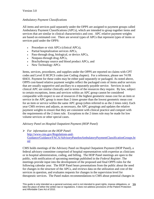## *Ambulatory Payment Classifications*

All items and services paid separately under the OPPS are assigned to payment groups called Ambulatory Payment Classifications (APCs), which are intended to group together items and services that are similar in clinical characteristics and cost. APC relative payment weights are based on estimated cost. There are several types of APCs that represent types of items or services paid under the OPPS:

- Procedure or visit APCs (clinical APCs),
- Partial hospitalization services APCs,
- Pass-through drug, biological, or device APCs,
- Nonpass-through drug APCs,
- Brachytherapy source and blood product APCs, and
- New Technology APCs

Items, services, procedures, and supplies under the OPPS are reported on claims with CPT codes and Level II HCPCS codes (see Coding chapter). For a reference, please see 74 FR 60431. Payment for these codes may be either paid separately or packaged. As noted above, OPPS cost-based relative payment weights reflect the packaged costs of items and/or services that are usually supportive and ancillary to a separately payable service. Services in each clinical APC are similar clinically and in terms of the resources they require. By law, subject to certain exceptions, items and services within an APC group cannot be considered comparable with respect to use of resources if the highest geometric mean cost for an item or service in the APC group is more than 2 times greater than the lowest geometric mean cost for an item or service within the same APC group (often referred to as the 2 times rule). Each year CMS reviews and adjusts, as necessary, the APC groupings and updates the relative payment weights to ensure that they are consistent with clinical practice and comport with the requirements of the 2 times rule. Exceptions to the 2 times rule may be made for low volume services or other special cases.

## *Advisory Panel on Hospital Outpatient Payment (HOP Panel)*

 *For information on the HOP Panel*: http://www.cms.gov/Regulations-and-Guidance/Guidance/FACA/AdvisoryPanelonAmbulatoryPaymentClassificationGroups.ht ml

CMS holds meetings of the Advisory Panel on Hospital Outpatient Payment (HOP Panel), a federal advisory committee comprised of hospital representatives with expertise as clinicians or in hospital administration, coding, and billing. The HOP Panel meetings are open to the public, with notification of upcoming meetings published in the *Federal Register*. The meetings provide input into the development of the proposed and final OPPS rules for the following calendar year. The HOP Panel hears presentations from the public about the need for changes in the structure of the APCs, and reviews data on the utilization and cost of the services in question, and evaluates requests for changes in the supervision level for therapeutic services. The Panel makes recommendations to CMS about potential changes in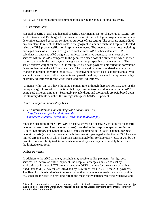APCs. CMS addresses these recommendations during the annual rulemaking cycle.

# *APC Payment Rates*

Hospital-specific overall and hospital-specific departmental cost-to-charge ratios (CCRs) are applied to a hospital's charges for services in the most recent full year hospital claims data to determine estimated costs per service for purposes of rate setting. The costs are standardized on each claim to reflect the labor costs in the geographic area in which the hospital is located using the IPPS pre-reclassification hospital wage index. The geometric mean cost, including packaged costs, of all services assigned to each clinical APC is then calculated. CMS calculates an unscaled APC weight that reflects the relative geometric mean cost of the services within the APC compared to the geometric mean cost of a clinic visit, which is then scaled to maintain the total payment weight under the prospective payment system. The scaled relative weight for the APC is multiplied by a base payment unit called the conversion factor to determine the APC payment rate. The conversion factor is updated annually for changes in hospital operating input costs. The conversion factor also is adjusted annually to account for anticipated outlier payments and pass-through payments and incorporates budget neutrality adjustments for the wage index and rural adjustment.

All items within an APC have the same payment rate, although there are policies, such as the multiple surgical procedure reduction, that may result in two procedures in the same APC being paid different amounts. Separately payable drugs and biologicals are paid based upon the statutory default, which is the average sales price  $(ASP) + 6$  percent.

# *Clinical Diagnostic Laboratory Tests*

 *For information on Clinical Diagnostic Laboratory Tests: [http://www.cms.gov/Regulations-and-](http://www.cms.gov/Regulations-and-Guidance/Guidance/Transmittals/Downloads/R2845CP.pdf)[Guidance/Guidance/Transmittals/Downloads/R2845CP.pdf.](http://www.cms.gov/Regulations-and-Guidance/Guidance/Transmittals/Downloads/R2845CP.pdf)* 

Since the inception of the OPPS, OPPS hospitals were paid separately for clinical diagnostic laboratory tests or services (laboratory tests) provided in the hospital outpatient setting at Clinical Laboratory Fee Schedule (CLFS) rates. Beginning in CY 2014, payment for most laboratory tests (except for molecular pathology tests) is packaged under the OPPS. There are limited circumstances in which hospitals can separately bill for laboratory tests. It will be the hospital's responsibility to determine when laboratory tests may be separately billed under the limited exceptions.

# *Outlier Payments*

In addition to the APC payment, hospitals may receive outlier payments for high cost services. To receive an outlier payment, the hospital's charges, adjusted to cost by application of its overall CCR, must exceed the OPPS payment for the service by both a fixed threshold (\$2,775 for CY 2015) and by 1.75 times (for CY 2015) the APC payment. The fixed loss threshold exists to ensure that outlier payments are made for unusually high costs that are incurred in providing care to the most costly patients receiving expensive and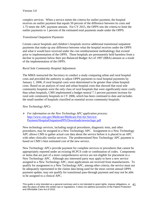complex services. When a service meets the criteria for outlier payment, the hospital receives an outlier payment that equals 50 percent of the difference between its costs and 1.75 times the APC payment amount. For CY 2015, the OPPS sets the criteria to limit the outlier payments to 1 percent of the estimated total payments made under the OPPS.

## *Transitional Outpatient Payments*

Certain cancer hospitals and children's hospitals receive additional transitional outpatient payments that make up any difference between what the hospital receives under the OPPS and what it would have received under the cost reimbursement methodology that existed prior to implementation of the OPPS. These hospitals are permanently held harmless from a decline in payments below their pre-Balanced Budget Act of 1997 (BBA) amount as a result of the implementation of the OPPS.

## *Rural Sole Community Hospital Adjustment*

The MMA instructed the Secretary to conduct a study comparing urban and rural hospital costs and provided the authority to adjust OPPS payments to rural hospital payments by January 1, 2006, if rural hospital costs were determined to be greater than urban hospital costs. Based on an analysis of rural and urban hospital costs that showed that rural sole community hospitals were the only class of rural hospitals that were significantly more costly than urban hospitals, CMS implemented a budget neutral 7.1 percent payment increase for rural sole community hospitals in CY 2006, which has been continued to date and includes the small number of hospitals classified as essential access community hospitals.

## *New Technology APCs*

 *For information on the New Technology APC application process*: [http://www.cms.gov/Medicare/Medicare-Fee-for-Service-](http://www.cms.gov/Medicare/Medicare-Fee-for-Service-Payment/HospitalOutpatientPPS/Downloads/newtechapc.pdf)[Payment/HospitalOutpatientPPS/Downloads/newtechapc.pdf](http://www.cms.gov/Medicare/Medicare-Fee-for-Service-Payment/HospitalOutpatientPPS/Downloads/newtechapc.pdf)

New technology services, including surgical procedures, diagnostic tests, and other procedures, may be assigned to a New Technology APC. Assignment to a New Technology APC allows CMS to gather actual cost data about the service before it is placed in an APC with other clinically similar services. The predetermined New Technology APC payment is based on CMS's best estimated cost of the new service.

New Technology APCs provide payment for complete services or procedures that cannot be appropriately reported under an existing HCPCS code or combination of codes. Components or items that are part of a more comprehensive service are not eligible for placement in a New Technology APC. Although any interested party may apply to have a new service assigned to a New Technology APC, most applications are received from manufacturers. To qualify for assignment to a New Technology APC, among other criteria, the service must not be adequately represented in the claims data being used for the most current annual OPPS payment update, may not qualify for transitional pass-through payment and may not be able to be assigned to a clinical APC.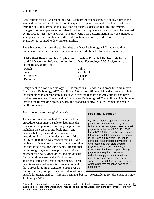Applications for a New Technology APC assignment can be submitted at any point in the year and are considered for inclusion in a quarterly update that is at least four months away from the date of submission to allow time for analysis, decision-making, and systems changes. For example, to be considered for the July 1 update, applications must be received by the first business day in March. The time period for a determination may be extended if an application is incomplete, if further information is required, or if a more extensive evaluation is required to determine eligibility.

The table below indicates the earliest date that New Technology APC status could be implemented once a completed application and all additional information are received.

| <b>CMS Must Have Complete Application</b><br>and All Necessary Information by the<br><b>First Business Date in</b> | <b>Earliest Possible Effective Date For a</b><br>New Technology APC Assignment |
|--------------------------------------------------------------------------------------------------------------------|--------------------------------------------------------------------------------|
| March                                                                                                              | July $1$                                                                       |
| June                                                                                                               | October 1                                                                      |
| September                                                                                                          | January 1                                                                      |
| December                                                                                                           | April 1                                                                        |

Assignment to a New Technology APC is temporary. Services and procedures are moved from a New Technology APC to a clinical APC once sufficient claims data are available for the technology to appropriately place it with services that are clinically similar and have similar resource use. The transition from a New Technology APC to a clinical APC is done through the rulemaking process, where the proposed clinical APC assignment is open to public comment.

# *Transitional Pass-Through Payments*

To develop an appropriate APC payment for a procedure, CMS must be able to determine the costs to the hospital of performing the procedure, including the cost of drugs, biologicals, and devices that may be used in the respective procedure. Prior to the implementation of the OPPS in 2000, there was concern that CMS did not have sufficient hospital cost data to determine the appropriate cost for some items. Transitional pass-through payments may provide additional payment for new devices, drugs, and biologicals for two to three years while CMS gathers additional data on the cost of those items. These new items are used in existing procedures, and those procedures are assigned to existing APCs. As noted above, complete new procedures do not

# **Pro-Rata Reduction**

By law, the total projected amount of pass-through payments in a year is limited to a percentage of projected total payments under the OPPS. For 2000 through 2003, the pass-through limit was 2.5 percent of total projected payments. In 2004 and future years, the limit is 2.0 percent of total projected payments. If CMS estimates that pass-through payments will exceed that limit, a uniform (pro-rata) reduction to all pass-through payments is required. Pro-rata reductions apply only to transitional pass-through payments for a particular year. To date, 2002 is the only year in which a pro-rata reduction has been necessary.

qualify for transitional pass-through payments but may be considered for placement in a New Technology APC.

This guide is only intended as a general summary and is not intended to grant rights, impose obligations, or 42 take the place of either the written law or regulations. It does not address provisions of the Patient Protection and Affordable Care Act of 2010.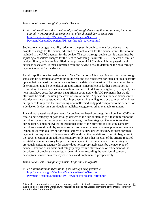## *Transitional Pass-Through Payments: Devices*

 *For information on the transitional pass-through device application process, including eligibility criteria and the complete list of established device categories*: [http://www.cms.gov/Medicare/Medicare-Fee-for-Service-](http://www.cms.gov/Medicare/Medicare-Fee-for-Service-Payment/HospitalOutpatientPPS/passthrough_payment.html)[Payment/HospitalOutpatientPPS/passthrough\\_payment.html](http://www.cms.gov/Medicare/Medicare-Fee-for-Service-Payment/HospitalOutpatientPPS/passthrough_payment.html)

Subject to any budget neutrality reduction, the pass-through payment for a device is the hospital's charge for the device, adjusted to the actual cost for the device, minus the amount included in the APC payment for the device. The pass-through device cost is determined by adjusting a hospital's charges for the item to cost using its overall CCR. The cost of similar devices, if any, which are identified in the procedural APC with which the pass-through device is associated, is then subtracted from the device's cost to determine the pass-through payment amount for the device.

As with applications for assignment to New Technology APCs, applications for pass-through status can be submitted at any point in the year and are considered for inclusion in a quarterly update that is at least four months away from the date of submission. The time period for a determination may be extended if an application is incomplete, if further information is required, or if a more extensive evaluation is required to determine eligibility. To qualify, an item must have costs that are not insignificant compared with APC payments that would otherwise be made, including the costs of similar items. Applications for new devices must also demonstrate a substantial clinical improvement in the diagnosis or treatment of an illness or injury or to improve the functioning of a malformed body part compared to the benefits of a device or devices in a previously established category or other available treatment.

Transitional pass-through payments for devices are based on categories of devices. CMS can create a new category of pass-through devices to include an item only if that item cannot be described by any current or previous pass-through device category. Comments received during past rulemaking cycles indicated that some of the previous and existing category descriptors were thought by some observers to be overly broad and may preclude some new technologies from qualifying for establishment of a new device category for pass-through payment. In response to this concern CMS modified the regulations to permit, beginning in CY 2006, creation of an additional category for devices that meet all of the criteria required to establish a new category for pass-through payment in instances where an existing or previously existing category descriptor does not appropriately describe the new type of device. Creation of an additional category may require clarification or refinement of the descriptors of previous categories. A determination regarding the revision of category descriptors is made on a case-by-case basis and implemented prospectively.

## *Transitional Pass-Through Payments: Drugs and Biologicals*

 *For information on transitional pass-through drug payments*: [http://www.cms.gov/Medicare/Medicare-Fee-for-Service-](http://www.cms.gov/Medicare/Medicare-Fee-for-Service-Payment/HospitalOutpatientPPS/Downloads/drugapplication.pdf)[Payment/HospitalOutpatientPPS/Downloads/drugapplication.pdf](http://www.cms.gov/Medicare/Medicare-Fee-for-Service-Payment/HospitalOutpatientPPS/Downloads/drugapplication.pdf)

This guide is only intended as a general summary and is not intended to grant rights, impose obligations, or 43 take the place of either the written law or regulations. It does not address provisions of the Patient Protection and Affordable Care Act of 2010.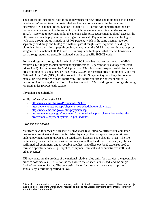The purpose of transitional pass-through payments for new drugs and biologicals is to enable beneficiaries' access to technologies that are too new to be captured in the data used to determine APC payment rates. Section  $1833(t)(6)(D)(i)$  of the Act specifies that the passthrough payment amount is the amount by which the amount determined under section 1842(o) (referring to payment under the average sales price (ASP) methodology) exceeds the otherwise applicable payment for the drug or biological. Payment for drugs and biologicals with pass-through status is made at ASP+6 percent, which is the same payment rate for separately paid drugs and biologicals without pass-through status. Approval of a drug or biological for a transitional pass-through payment under the OPPS is not contingent on prior assignment of a national HCPCS code. New drugs and biologicals that receive transitional pass-through status are typically assigned a product-specific HCPCS code.

For new drugs and biologicals for which a HCPCS code has not been assigned, the MMA requires CMS to pay hospital outpatient departments at 95 percent of its average wholesale price (AWP). To implement the MMA provision, CMS instructed hospitals to bill for a new drug or biological using a new HCPCS code, C9399 (unclassified drug or biological), and the National Drug Code (NDC) for the product. The OPPS payment system flags the code for manual pricing by the Medicare contractor. The contractor sets the payment rate at 95 percent of AWP using the Red Book. Contractors notify CMS of drugs and biologicals being reported under HCPCS code C9399.

# <span id="page-43-0"></span>**Physician Fee Schedule**

- *For information on the PFS*:
	- <http://www.cms.hhs.gov/PhysicianFeeSched/>
	- <https://www.cms.gov/apps/physician-fee-schedule/overview.aspx>
	- <http://www.cms.hhs.gov/center/physician.asp>
	- [http://www.medpac.gov/documents/payment-basics/physician-and-other-health](http://www.medpac.gov/documents/payment-basics/physician-and-other-health-professionals-payment-system-14.pdf?sfvrsn=0)[professionals-payment-system-14.pdf?sfvrsn=0](http://www.medpac.gov/documents/payment-basics/physician-and-other-health-professionals-payment-system-14.pdf?sfvrsn=0)

# *Payments per Service*

Medicare pays for services furnished by physicians (e.g., surgery, office visits, and other professional services) and services furnished by many other non-physician practitioners under a payment system known as the Medicare Physician Fee Schedule (PFS). The PFS includes payments for the professional services as well as the direct expenses (i.e., clinical staff, medical equipment, and disposable supplies) and office overhead expenses used to furnish a specific service (e.g., supplies, equipment, clinical and administrative staff, and other expenses).

PFS payments are the product of the national relative value units for a service, the geographic practice cost indexes (GPCIs) for the area where the service is furnished, and the single "dollar" conversion factor. The conversion factor for physicians' services is updated annually by a formula specified in law.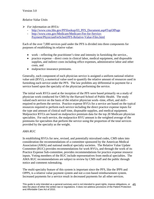# *Relative Value Units*

- *For information on RVUs:* 
	- [http://www.cms.hhs.gov/PFSlookup/03\\_PFS\\_Document.asp#TopOfPage](http://www.cms.hhs.gov/PFSlookup/03_PFS_Document.asp#TopOfPage)
	- [http://www.cms.gov/Medicare/Medicare-Fee-for-Service-](http://www.cms.gov/Medicare/Medicare-Fee-for-Service-Payment/PhysicianFeeSched/PFS-Relative-Value-Files.html)[Payment/PhysicianFeeSched/PFS-Relative-Value-Files.html](http://www.cms.gov/Medicare/Medicare-Fee-for-Service-Payment/PhysicianFeeSched/PFS-Relative-Value-Files.html)

Each of the over 7,000 services paid under the PFS is divided into three components for purposes of establishing its relative value:

- work reflecting the practitioner's time and intensity in furnishing the service.,
- practice expense  $-$  direct costs in clinical labor, medical equipment, and disposable supplies, and indirect costs including office expenses, administrative labor and other costs, and
- malpractice insurance premiums.

Generally, each component of each physician service is assigned a uniform national relative value unit (RVU), a numerical value used to quantify the relative amount of resources used in furnishing each service under the PFS. The law prohibits any differential in payment for a service based upon the specialty of the physician performing the service.

The initial work RVUs used at the inception of the PFS were based primarily on a study of physician work conducted for CMS by the Harvard School of Public Health. The study valued each service on the basis of the relative physician work--time, effort, and skill- required to perform the service. Practice expense RVUs for a service are based on the typical resources required to perform each service including the direct practice expense inputs for the type and amount of clinical staff time, disposable supplies, and medical equipment. Malpractice RVUs are based on malpractice premium data for the top 20 Medicare physician specialties. For each service, the malpractice RVU amount is the weighted average of the premiums for specialties that perform the service using the proportion of the total services provided by the specialty as the weight.

# *AMA RUC*

In establishing RVUs for new, revised, and potentially misvalued codes, CMS takes into consideration the recommendations of a committee sponsored by the American Medical Association (AMA) and national medical specialty societies. The Relative Value Update Committee (RUC) provides recommendations for work RVUs, and through the work of its Practice Expense Sub-committee, provides recommendations for practice expense resource inputs. Voting members of the RUC include representatives from medical specialties. The AMA RUC recommendations are subject to review by CMS staff and the public through notice and comment rulemaking.

The multi-specialty feature of this system is important since the PFS, like the IPPS and OPPS, is a relative value payment system and not a cost-based reimbursement system. Increased payments for a service result in decreased payments for all other services.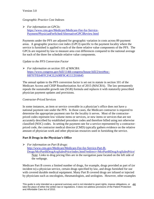# *Geographic Practice Cost Indexes*

 *For information on GPCIs*: [https://www.cms.gov/Medicare/Medicare-Fee-for-Service-](https://www.cms.gov/Medicare/Medicare-Fee-for-Service-Payment/PhysicianFeeSched/AlternativeGPCIReview.html)[Payment/PhysicianFeeSched/AlternativeGPCIReview.html](https://www.cms.gov/Medicare/Medicare-Fee-for-Service-Payment/PhysicianFeeSched/AlternativeGPCIReview.html)

Payments under the PFS are adjusted for geographic variation in costs across 89 payment areas. A geographic practice cost index (GPCI) specific to the payment locality where the service is furnished is applied to each of the three relative value components of the PFS. The GPCIs are required by law to measure area cost differences compared to the national average for each of the three fee schedule relative value components.

# *Update to the PFS Conversion Factor*

 *For information on section 101 of MACRA:*  [https://www.congress.gov/bill/114th-congress/house-bill/2/text#toc-](https://www.congress.gov/bill/114th-congress/house-bill/2/text#toc-H8707FE64FFCF4CE2A98F9C4CCCD16645)[H8707FE64FFCF4CE2A98F9C4CCCD16645](https://www.congress.gov/bill/114th-congress/house-bill/2/text#toc-H8707FE64FFCF4CE2A98F9C4CCCD16645)

The annual update to the PFS conversion factor is set out in statute in section 101 of the Medicare Access and CHIP Reauthorization Act of 2015 (MACRA). The law permanently repeals the sustainable growth rate (SGR) formula and replaces it with statutorily prescribed physician payment updates and provisions.

## *Contractor-Priced Services*

In some instances, an item or service coverable in a physician's office does not have a national payment rate under the PFS. In those cases, the Medicare contractor is required to determine the appropriate payment rate for the locality it serves. Most of the contractorpriced codes represent low volume items or services, or new items or services that are not accurately described by established procedure codes and therefore billed using not otherwise classified (NOC) codes. In setting the payment rate for a service represented by a contractorpriced code, the contractor medical director (CMD) typically gathers evidence on the relative amount of physician work and other physician resources used in furnishing the service.

# <span id="page-45-0"></span>**Part B Drugs in the Physician's Office**

*For information on Part B drugs*:

[http://www.cms.gov/Medicare/Medicare-Fee-for-Service-Part-B-](http://www.cms.gov/Medicare/Medicare-Fee-for-Service-Part-B-Drugs/McrPartBDrugAvgSalesPrice/index.html?redirect=/McrPartBDrugAvgSalesPrice/)

[Drugs/McrPartBDrugAvgSalesPrice/index.html?redirect=/McrPartBDrugAvgSalesPrice/](http://www.cms.gov/Medicare/Medicare-Fee-for-Service-Part-B-Drugs/McrPartBDrugAvgSalesPrice/index.html?redirect=/McrPartBDrugAvgSalesPrice/) Note: Links to drug pricing files are in the navigation pane located on the left side of the webpage.

Medicare Part B covers a limited number of drugs, for example, drugs provided as part of (or incident to) a physician service, certain drugs specified by law, and drugs furnished for use with covered durable medical equipment. Many Part B covered drugs are infused or injected by physicians such as oncologists, rheumatologists, and urologists. However, other examples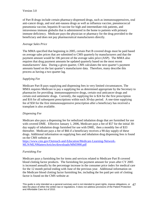of Part B drugs include certain pharmacy-dispensed drugs, such as immunosuppressives, oral anti-cancer drugs, and oral anti-nausea drugs as well as influenza vaccine, pneumococcal pneumonia vaccine, hepatitis B vaccine for high and intermediate risk patients, and intravenous immune globulin that is administered in the home to patients with primary immune deficiency. Medicare pays the physician or pharmacy for the drug provided to the beneficiary and does not pay pharmaceutical manufacturers directly.

#### *Average Sales Price*

The MMA specified that beginning in 2005, certain Part B covered drugs must be paid based on average sales prices that are submitted to CMS quarterly by manufacturers and that the payment amount would be 106 percent of the average sales price (ASP). The MMA also requires that drug payment amounts be updated quarterly based on the most recent manufacturers' data. During a given quarter, CMS calculates the next quarter's payment amounts based on the last quarter's manufacturer data. Therefore, many describe this process as having a two quarter lag.

## *Supplying Fee*

Medicare Part B pays supplying and dispensing fees in very limited circumstances. The MMA requires Medicare to pay a supplying fee as determined appropriate by the Secretary to pharmacies for providing immunosuppressive drugs, certain oral anticancer drugs and certain oral antiemetic drugs. Currently, the supplying fee is \$24 for the first prescription and \$16 for all subsequent prescriptions within each 30-day period. A one-time supplying fee of \$50 for the first immunosuppressive prescription after a beneficiary has received a transplant is also available.

## *Dispensing Fee*

Medicare also pays a dispensing fee for nebulized inhalation drugs that are furnished for use with covered DME. Effective January 1, 2006, Medicare pays a fee of \$57 for the initial 30 day supply of inhalation drugs furnished for use with DME, then a monthly fee of \$33 thereafter. Medicare pays a fee of \$66 if a beneficiary receives a 90-day supply of these drugs. Additional information on supplying fees and inhalation drug dispensing fees is found on the CMS website at:

[https://www.cms.gov/Outreach-and-Education/Medicare-Learning-Network-](https://www.cms.gov/Outreach-and-Education/Medicare-Learning-Network-MLN/MLNMattersArticles/downloads/MM3990.pdf)[MLN/MLNMattersArticles/downloads/MM3990.pdf](https://www.cms.gov/Outreach-and-Education/Medicare-Learning-Network-MLN/MLNMattersArticles/downloads/MM3990.pdf)

## *Furnishing Fee*

Medicare pays a furnishing fee for items and services related to Medicare Part B covered blood clotting factor products. The furnishing fee payment amount for years after CY 2005 is increased annually by the percentage increase in the consumer price index for medical care for the 12 month period ending with June of the previous year. Additional information on the Medicare blood clotting factor furnishing fee, including the fee paid per unit of clotting factor is found on the CMS website at: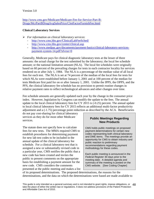[http://www.cms.gov/Medicare/Medicare-Fee-for-Service-Part-B-](http://www.cms.gov/Medicare/Medicare-Fee-for-Service-Part-B-Drugs/McrPartBDrugAvgSalesPrice/ClotFactorFurnishFee.html)[Drugs/McrPartBDrugAvgSalesPrice/ClotFactorFurnishFee.html](http://www.cms.gov/Medicare/Medicare-Fee-for-Service-Part-B-Drugs/McrPartBDrugAvgSalesPrice/ClotFactorFurnishFee.html) 

## <span id="page-47-0"></span>**Clinical Laboratory Services**

- *For information on clinical laboratory services*:
	- <http://www.cms.hhs.gov/ClinicalLabFeeSched/>
	- <http://www.cms.hhs.gov/center/clinical.asp>
	- [http://www.medpac.gov/documents/payment-basics/clinical-laboratory-services](http://www.medpac.gov/documents/payment-basics/clinical-laboratory-services-payment-system-14.pdf?sfvrsn=0)[payment-system-14.pdf?sfvrsn=0](http://www.medpac.gov/documents/payment-basics/clinical-laboratory-services-payment-system-14.pdf?sfvrsn=0)

Generally, Medicare pays for clinical diagnostic laboratory tests at the lesser of three amounts: the actual charge for the test submitted by the laboratory; the local fee schedule amount; or the national limitation amount (NLA). The local fee schedules were originally based on 60 percent of the prevailing charges for tests in each contractor locality for services rendered on or after July 1, 1984. The NLA is a percentage of the median value of all local fees for each test. The NLA is set at 74 percent of the median of the local fees for tests for which NLAs were established before January 1, 2001 and at 100 percent of the median for tests Medicare first paid for on or after January 1, 2001. Unlike the IPPS, the OPPS, and the PFS, the clinical laboratory fee schedule has no provision to permit routine changes in relative payment rates to reflect technological advances and other changes over time.

Fee schedule amounts are generally updated each year by the change in the consumer price index. However, legislation by Congress can modify the update to the fees. The annual update to the local clinical laboratory fees for CY 2015 is (-0.25) percent. The annual update to local clinical laboratory fees for CY 2015 reflects an additional multi-factor productivity adjustment and a (-1.75) percentage point reduction as described by the ACA. Beneficiaries

do not pay cost-sharing for clinical laboratory services as they do for most other Medicare services.

The statute does not specify how to calculate fees for new tests. The MMA required CMS to establish procedures for determining payment for new lab test codes to be included in the annual update of the clinical laboratory fee schedule. For a clinical laboratory test that is assigned a new or substantially revised code in a particular year, CMS notifies the public that a new code has been created and invites the public to present comments on the appropriate basis for establishing a payment amount for the new code. CMS considers the comments presented at the public meeting and makes a list

# **Public Meetings Regarding New Products**

CMS holds public meetings on proposed payment determinations for certain new codes representing both clinical laboratory and DME items. The meetings provide an opportunity for CMS to obtain industry and public reaction to preliminary recommendations regarding payment methodology for these codes.

Each public meeting is announced in the *Federal Register* 30 days prior to the meeting date. A detailed agenda and summary of the meeting is posted on the CMS website. [See Coding Chapter]

of its proposed determinations. The proposed determinations, the reasons for the determinations, and the data on which the determinations were based are made available to

This guide is only intended as a general summary and is not intended to grant rights, impose obligations, or 48 take the place of either the written law or regulations. It does not address provisions of the Patient Protection and Affordable Care Act of 2010.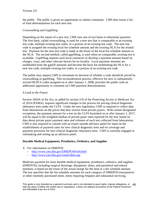the public. The public is given an opportunity to submit comments. CMS then issues a list of final determinations for each new test.

# *Crosswalking and Gapfilling*

Depending on the nature of a new test, CMS uses one of two bases to determine payment. The first basis, called crosswalking, is used for a new test that is comparable to an existing test code, multiple existing test codes, or a portion of an existing test code. The new test code is assigned the existing local fee schedule amount and the existing NLA for the related test. Payment for the new test code is made at the lesser of the local fee schedule amount or the NLA. The second method, called gapfilling, is used when no comparable, existing test is available. Gapfilling requires each local contractor to develop a payment amount based on charges, costs, and other relevant factors for its locality. Local payment amounts are established from the gapfill amounts and become the basis for establishing the NLA for a new test code, multiple existing test codes, or a portion of an existing test code.

The public may request CMS to reevaluate its decision of whether a code should be priced by crosswalking or gapfilling. This reconsideration process, effective for new or substantially revised HCPCS codes assigned on or after January 1, 2008, provides the public with an additional opportunity to comment on CMS payment determinations.

# *A Look to the Future*

Section 1834A of the Act, as added by section 216 of the Protecting Access to Medicare Act of 2014 (PAMA), requires significant changes to the process for pricing clinical diagnostic laboratory tests under the CLFS. Under the new legislation, CMS is required to collect data from laboratories on the prices that they receive from private payers. With certain designated exceptions, the payment amount for a test on the CLFS furnished on or after January 1, 2017, will be equal to the weighted median of private payer rates reported for the test, based on data about private payer payment rates and volumes of each test collected from laboratories. CMS is also required to consult with an expert outside advisory panel for input on the establishment of payment rates for new clinical diagnostic tests and on coverage and payment processes for new clinical diagnostic laboratory tests. CMS is currently engaged in rulemaking and setting up an advisory panel.

# <span id="page-48-0"></span>**Durable Medical Equipment, Prosthetics, Orthotics, and Supplies**

- *For information on DMEPOS* 
	- <http://www.cms.hhs.gov/DMEPOSFeeSched/>
	- <http://www.cms.hhs.gov/center/dme.asp>

Medicare payment for most durable medical equipment, prosthetics, orthotics, and supplies (DMEPOS), including surgical dressings, therapeutic shoes, and parenteral and enteral nutrition, is based on the lower of the actual charge for the item or a fee schedule amount. The law specifies that the fee schedule amounts for each category of DMEPOS (inexpensive or other routinely purchased items, items requiring frequent and substantial servicing,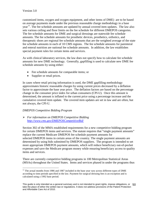customized items, oxygen and oxygen equipment, and other items of DME) are to be based on average payments made under the previous reasonable charge methodology in a base  $year<sup>11</sup>$  $year<sup>11</sup>$  $year<sup>11</sup>$ . The fee schedule amounts are updated by annual covered item updates. The law also sets various ceiling and floor limits on the fee schedule for different DMEPOS categories. The fee schedule amounts for DME and surgical dressings are statewide fee schedule amounts. The fee schedule amounts for prosthetic devices, prosthetics, orthotics, and therapeutic shoes are regional fee schedule amounts that are the weighted average of the state fee schedule amounts in each of 10 CMS regions. The fee schedule amounts for parenteral and enteral nutrition are national fee schedule amounts. In addition, the law establishes special payment rules for certain items and services.

As with clinical laboratory services, the law does not specify how to calculate fee schedule amounts for new DME technology. Generally, gapfilling is used to calculate new DME fee schedule amounts by using either:

- Fee schedule amounts for comparable items; or
- Supplier or retail prices.

In cases where retail pricing information is used, the DME gapfilling methodology approximates historic reasonable charges by using current prices decreased by a deflation factor to approximate the base year price. The deflation factors are based on the percentage change in the consumer price index for urban consumers (CPI-U). Once this amount is determined, the amount is inflated to the current price using a percentage increase and the cumulative covered item update. The covered item updates are set in law and are often, but not always, the CPI-U.

# *DMEPOS Competitive Bidding Program*

## *For information on DMEPOS Competitive Bidding <http://www.cms.gov/DMEPOSCompetitiveBid/>*

Section 302 of the MMA established requirements for a new competitive bidding program for certain DMEPOS items and services. The statute requires that "single payment amounts" replace the current Medicare DMEPOS fee schedule payment amounts for selected DMEPOS items in certain areas of the country. The single payment amounts are determined by using bids submitted by DMEPOS suppliers. The program is intended to set more appropriate DMEPOS payment amounts, which will reduce beneficiary out-of-pocket expenses and save the Medicare program money while ensuring beneficiary access to quality items and services.

There are currently competitive bidding programs in 100 Metropolitan Statistical Areas (MSAs) throughout the United States. Items and services phased in under the programs thus

<span id="page-49-0"></span> $\overline{a}$  $11$  The actual months from 1986 and 1987 included in the base year vary across different types of DME according to time periods specified in the law. Payment for surgical dressing fees is an exception and is calculated using a 1992 base period.

This guide is only intended as a general summary and is not intended to grant rights, impose obligations, or 50 take the place of either the written law or regulations. It does not address provisions of the Patient Protection and Affordable Care Act of 2010.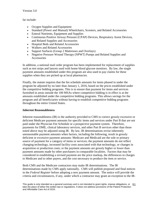Version 3.0

far include:

- Oxygen Supplies and Equipment
- Standard (Power and Manual) Wheelchairs, Scooters, and Related Accessories
- Enteral Nutrients, Equipment and Supplies
- Continuous Positive Airway Pressure (CPAP) Devices, Respiratory Assist Devices, and Related Supplies and Accessories
- Hospital Beds and Related Accessories
- Walkers and Related Accessories
- Support Surfaces (Group 2 Mattresses and Overlays)
- Negative Pressure Wound Therapy (NPWT) Pumps and Related Supplies and Accessories

In addition, a national mail order program has been implemented for replacement of supplies such as test strips and lancets used with home blood glucose monitors. By law, the single payment amounts established under this program are also used to pay claims for these supplies when they are picked up at local pharmacies.

Finally, the statute requires that the fee schedule amounts for items phased in under the program be adjusted by no later than January 1, 2016, based on the prices established under the competitive bidding programs. This is to ensure that payment for items and services furnished in areas outside the 100 MSAs where competitive bidding is in effect is at the amounts established under the competitive bidding programs. This allows savings for the program and all beneficiaries without having to establish competitive bidding programs throughout the entire United States.

## <span id="page-50-0"></span>**Inherent Reasonableness**

Inherent reasonableness (IR) is the authority provided to CMS to correct grossly excessive or deficient Medicare payment amounts for specific items and services under Part B that are not paid under the Physician Fee Schedule or a prospective payment system. Therefore, payments for DME, clinical laboratory services, and other Part B services other than those noted above may be adjusted using IR. By law, IR determinations revise inherently unreasonable payment amounts when factors, including the following, result in grossly deficient or excessive payment amounts: Medicare and Medicaid are the sole or primary source of payment for a category of items or services; the payment amounts do not reflect changing technology, increased facility costs associated with that technology, or changes in acquisition or production costs; or the payment amounts are grossly higher or lower than payment amounts made by other purchasers in comparable localities. Factors that may be considered in establishing a revised payment are the price markup, the differences in charges to Medicare and to other payers, and the cost necessary to produce the item or service.

Both CMS and the Medicare contractors may make IR determinations. The IR determinations made by CMS apply nationally. CMS will publish proposed and final notices in the *Federal Register* before adopting a new payment amount. The notice will provide the criteria and circumstances, if any, under which a contractor may grant an exception to the IR-

This guide is only intended as a general summary and is not intended to grant rights, impose obligations, or 51 take the place of either the written law or regulations. It does not address provisions of the Patient Protection and Affordable Care Act of 2010.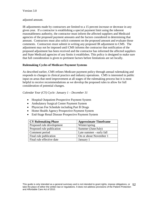#### adjusted amount.

IR adjustments made by contractors are limited to a 15 percent increase or decrease in any given year. If a contractor is establishing a special payment limit using the inherent reasonableness authority, the contractor must inform the affected suppliers and Medicaid agencies of the proposed payment amounts and the factors considered in determining that amount. Contractors must also solicit comment on the proposed amount and evaluate those comments. Contractors must submit in writing any proposed IR adjustment to CMS. The adjustment may not be imposed until CMS informs the contractor that notification of the proposed adjustment has been received and the contractor has informed the affected suppliers and State Medicaid agencies of any limits it establishes. This policy is designed to make sure that full consideration is given to pertinent factors before limitations are set locally.

## <span id="page-51-0"></span>**Rulemaking Cycles of Medicare Payment Systems**

As described earlier, CMS refines Medicare payment policy through annual rulemaking and responds to changes in clinical practice and industry operations. CMS is interested in public input on areas that need improvement at all stages of the rulemaking process but it is most helpful to receive recommendations as we develop the proposed rules to allow for full consideration of potential changes.

## *Calendar Year (CY) Cycle: January 1 – December 31*

- Hospital Outpatient Prospective Payment System
- Ambulatory Surgical Center Payment System
- Physician Fee Schedule including Part B Drugs
- Home Health Agency Prospective Payment System
- End-Stage Renal Disease Prospective Payment System

| <b>CY Rulemaking Phase</b> | <b>Approximate Timeframe</b> |
|----------------------------|------------------------------|
| Proposed rule development  | Winter/spring                |
| Proposed rule publication  | Summer (June/July)           |
| Comment period             | Late summer - early fall     |
| Final rule publication     | On or about November 1       |
| Final rule effective date  | January 1                    |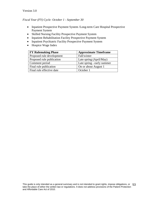# *Fiscal Year (FY) Cycle: October 1 - September 30*

- Inpatient Prospective Payment System /Long-term Care Hospital Prospective Payment System
- Skilled Nursing Facility Prospective Payment System
- Inpatient Rehabilitation Facility Prospective Payment System
- Inpatient Psychiatric Facility Prospective Payment System
- Hospice Wage Index

| <b>FY Rulemaking Phase</b> | <b>Approximate Timeframe</b> |
|----------------------------|------------------------------|
| Proposed rule development  | Fall/winter                  |
| Proposed rule publication  | Late spring (April/May)      |
| Comment period             | Late spring - early summer   |
| Final rule publication     | On or about August 1         |
| Final rule effective date  | October 1                    |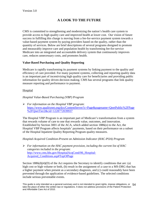# **A LOOK TO THE FUTURE**

<span id="page-53-0"></span>CMS is committed to strengthening and modernizing the nation's health care system to provide access to high quality care and improved health at lower cost. Our vision of future success in fulfilling this charge is moving from a fee-for-service payment system towards a value-based payment system by paying providers based on the quality, rather than the quantity of services. Below are brief descriptions of several programs designed to promote and measurably improve care and population health by transforming fee-for-service Medicare into an integrated and accountable delivery system that continuously improves care, reduces unnecessary costs, and promotes health.

# <span id="page-53-1"></span>**Value-Based Purchasing and Quality Reporting**

Medicare is rapidly transforming its payment systems by linking payment to the quality and efficiency of care provided. For many payment systems, collecting and reporting quality data is an important part of incentivizing high quality care for beneficiaries and providing public information for quality driven decision making. CMS has several programs that link quality measure reporting and performance to payment.

# Hospital

*Hospital Value-Based Purchasing (VBP) Program* 

 *For information on the Hospital VBP program*: [https://www.qualitynet.org/dcs/ContentServer?c=Page&pagename=QnetPublic%2FPage](https://www.qualitynet.org/dcs/ContentServer?c=Page&pagename=QnetPublic%2FPage%2FQnetTier2&cid=1228772039937) [%2FQnetTier2&cid=1228772039937](https://www.qualitynet.org/dcs/ContentServer?c=Page&pagename=QnetPublic%2FPage%2FQnetTier2&cid=1228772039937)

The Hospital VBP Program is an important part of Medicare's transformation from a system that rewards volume of care to one that rewards value, outcomes, and innovation. Established by Section 3001 of the ACA, which added section 1886(o) to the Act, the Hospital VBP Program affects hospitals' payments, based on their performance on a subset of the Hospital Inpatient Quality Reporting Program quality measures.

*Hospital-Acquired Condition-Present on Admission Indicator (HAC-POA) Program*

 *For information on the HAC payment provision, including the current list of HAC categories included in the program*: [http://www.cms.hhs.gov/HospitalAcqCond/06\\_Hospital-](http://www.cms.hhs.gov/HospitalAcqCond/06_Hospital-Acquired_Conditions.asp#TopOfPage)[Acquired\\_Conditions.asp#TopOfPage](http://www.cms.hhs.gov/HospitalAcqCond/06_Hospital-Acquired_Conditions.asp#TopOfPage)

Section  $1886(d)(4)(D)$  of the Act requires the Secretary to identify conditions that are: (a) high cost or high volume or both, (b) result in the assignment of a case to a MS-DRG that has a higher payment when present as a secondary diagnosis, and (c) could reasonably have been prevented through the application of evidence-based guidelines. The selected conditions include serious preventable events.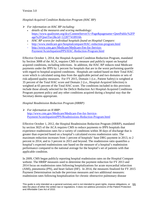*Hospital-Acquired Condition Reduction Program (HAC RP)* 

- *For information on HAC RP including:* 
	- *details of the measures and scoring methodology:*  [https://www.qualitynet.org/dcs/ContentServer?c=Page&pagename=QnetPublic%2FP](https://www.qualitynet.org/dcs/ContentServer?c=Page&pagename=QnetPublic%2FPage%2FQnetTier2&cid=1228774189166) [age%2FQnetTier2&cid=1228774189166.](https://www.qualitynet.org/dcs/ContentServer?c=Page&pagename=QnetPublic%2FPage%2FQnetTier2&cid=1228774189166)
	- *HAC RP scores for individual hospitals found on Hospital Compare:*
	- <http://www.medicare.gov/hospitalcompare/HAC-reduction-program.html>
	- [http://www.cms.gov/Medicare/Medicare-Fee-for-Service-](http://www.cms.gov/Medicare/Medicare-Fee-for-Service-Payment/AcuteInpatientPPS/HAC-Reduction-Program.html)[Payment/AcuteInpatientPPS/HAC-Reduction-Program.html](http://www.cms.gov/Medicare/Medicare-Fee-for-Service-Payment/AcuteInpatientPPS/HAC-Reduction-Program.html)

Effective October 1, 2014, the Hospital-Acquired Condition Reduction Program, mandated by Section 3008 of the ACA, requires CMS to measure and publicly report on hospital acquired conditions, including infections. In addition, the HAC RP reduces total Medicare payments under the IPPS by 1 percent for hospitals that are in the worst performing quartile with regard to hospital-acquired conditions. Hospitals are ranked based on their Total HAC score which is calculated using data from the applicable period and two domains or sets of risk-adjusted quality measures. For FY 2015, Domain 1 (i.e., Patient Safety) is weighted at 35 percent of the Total HAC score and Domain 2 (i.e., Hospital-Acquired Infection) is weighted at 65 percent of the Total HAC score. The conditions included in this provision include those already selected for the Deficit Reduction Act Hospital-Acquired Conditions Program payment policy and any other conditions acquired during a hospital stay that the Secretary deems appropriate.

# *Hospital Readmission Reduction Program (HRRP)*

 *For information on H RRP*: [http://www.cms.gov/Medicare/Medicare-Fee-for-Service-](http://www.cms.gov/Medicare/Medicare-Fee-for-Service-Payment/AcuteInpatientPPS/Readmissions-Reduction-Program.html)[Payment/AcuteInpatientPPS/Readmissions-Reduction-Program.html](http://www.cms.gov/Medicare/Medicare-Fee-for-Service-Payment/AcuteInpatientPPS/Readmissions-Reduction-Program.html)

Effective October 1, 2012, the Hospital Readmission Reduction Program (HRRP), mandated by section 3025 of the ACA requires CMS to reduce payments to IPPS hospitals that experience readmission rates for a variety of conditions within 30 days of discharge that is greater than expected based on a hospital's calculated excess readmission ratio. The maximum reduction increases from 1 percent of hospitals' base DRG payment in 2013, to 2 percent in 2014, and to 3 percent in 2015 and beyond. The readmission ratio quantifies a hospital's expected readmissions rate based on the measure of a hospital's readmission performance compared to the national average for the hospital's set of patients with that applicable condition.

In 2009, CMS began publicly reporting hospital readmission rates on the Hospital Compare website. The HRRP measures used to determine the payment reduction for FY 2013 and 2014 focus on readmission rates following hospitalizations for acute myocardial infarction (AMI), pneumonia (PN), and heart failure (HF). In 2014, the measures finalized for FY 2015 Payment Determination include the previous measures and two additional measures: readmission rates following hospitalization for chronic obstructive pulmonary disease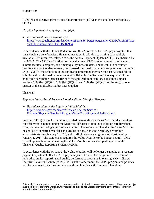## Version 3.0

(COPD), and elective primary total hip arthroplasty (THA) and/or total knee arthroplasty (TKA).

## *Hospital Inpatient Quality Reporting (IQR)*

 *For information on Hospital IQR*: [https://www.qualitynet.org/dcs/ContentServer?c=Page&pagename=QnetPublic%2FPage](https://www.qualitynet.org/dcs/ContentServer?c=Page&pagename=QnetPublic%2FPage%2FQnetBasic&cid=1138115987954) [%2FQnetBasic&cid=1138115987954](https://www.qualitynet.org/dcs/ContentServer?c=Page&pagename=QnetPublic%2FPage%2FQnetBasic&cid=1138115987954)

In accordance with the Deficit Reduction Act (DRA) of 2005, the IPPS pays hospitals that treat Medicare beneficiaries a financial incentive, in addition to making data publicly available. This incentive, referred to as the Annual Payment Update (APU), is authorized by the MMA. The APU is offered to hospitals that meet CMS's requirements to collect and submit accurate, complete, and timely quality measure data. The intent is to encourage hospitals to adopt evidence-based, outcomes-driven health care delivery practices. Beginning with FY 2015, the reduction in the applicable percentage increase for hospitals that fail to submit quality information under rules established by the Secretary is one quarter of the applicable percentage increase (prior to the application of statutory adjustments under sections  $1886(b)(3)(B)(ix)$ ,  $1886(b)(3)(B)(xi)$ , and  $1886(b)(3)(B)(xii)$  of the Act)) or one quarter of the applicable market basket update.

## Physician

## *Physician Value-Based Payment Modifier (Value Modifier) Program*

 *For information on the Physician Value Modifier*: [http://www.cms.gov/Medicare/Medicare-Fee-for-Service-](http://www.cms.gov/Medicare/Medicare-Fee-for-Service-Payment/PhysicianFeedbackProgram/ValueBasedPaymentModifier.html)[Payment/PhysicianFeedbackProgram/ValueBasedPaymentModifier.html](http://www.cms.gov/Medicare/Medicare-Fee-for-Service-Payment/PhysicianFeedbackProgram/ValueBasedPaymentModifier.html)

Section 1848(p) of the Act requires that Medicare establish a Value Modifier that provides for differential payment under the Medicare PFS based upon the quality of care furnished compared to cost during a performance period. The statute requires that the Value Modifier be applied to specific physicians and groups of physicians the Secretary determines appropriate starting January 1, 2015, and to all physicians and groups of physicians by January 1, 2017. The statute also requires the Value Modifier to be budget neutral. CMS' overall approach to implementing the Value Modifier is based on participation in the Physician Quality Reporting System (PQRS).

In accordance with the MACRA, the Value Modifier will no longer be applied as a separate payment adjustment after the 2018 payment year. Instead, the program will be combined with other quality reporting and quality performance programs into a single Merit-Based Incentive Payment System (MIPS). With stakeholder input, the MIPS program and policies will be developed over the coming years through notice and comment rulemaking.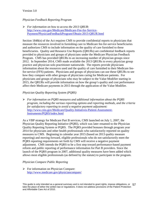## *Physician Feedback Reporting Program*

 *For information on how to access the 2013 QRUR*: [http://www.cms.gov/Medicare/Medicare-Fee-for-Service-](http://www.cms.gov/Medicare/Medicare-Fee-for-Service-Payment/PhysicianFeedbackProgram/Obtain-2013-QRUR.html)[Payment/PhysicianFeedbackProgram/Obtain-2013-QRUR.html](http://www.cms.gov/Medicare/Medicare-Fee-for-Service-Payment/PhysicianFeedbackProgram/Obtain-2013-QRUR.html)

Section 1848(n) of the Act requires CMS to provide confidential reports to physicians that measure the resources involved in furnishing care to Medicare fee-for-service beneficiaries and authorizes CMS to include information on the quality of care furnished to these beneficiaries. Quality and Resource Use Reports (QRURs) are confidential feedback reports provided to physicians and groups of physicians under the Medicare Physician Feedback Program. CMS has provided QRURs to an increasing number of physician groups since 2012. In September 2014, CMS made available the 2013 QRURs to every physician group practice and physician solo practitioner nationwide. The reports provide physicians information about the resources used and the quality of care furnished to their Medicare feefor-service (FFS) patients. Physicians and groups of physicians can use these QRURs to see how they compare with other groups of physicians caring for Medicare patients. For physicians and groups of physicians who may be subject to the Value Modifier starting in 2015, the QRURs will provide information on how the group's quality and cost performance affect their Medicare payments in 2015 through the application of the Value Modifier.

## *Physician Quality Reporting System (PQRS)*

 *For information on PQRS measures and additional information about the PQRS program, including the various reporting options and reporting methods, and the criteria for satisfactory reporting to avoid a negative payment adjustment:* [http://www.cms.gov/Medicare/Quality-Initiatives-Patient-Assessment-](http://www.cms.gov/Medicare/Quality-Initiatives-Patient-Assessment-Instruments/PQRS/index.html)[Instruments/PQRS/index.html](http://www.cms.gov/Medicare/Quality-Initiatives-Patient-Assessment-Instruments/PQRS/index.html)

As a VBP strategy for Medicare Part B services, CMS launched on July 1, 2007, the Physician Quality Reporting Initiative (PQRI), which was later renamed to the Physician Quality Reporting System or PQRS. The PQRS provided bonuses through program year 2014 for physicians and other health professionals who satisfactorily reported on quality measures to CMS. Beginning in calendar year 2015 (based on 2013 quality measure reporting) and moving forward, eligible professionals who do not satisfactorily meet the PQRS reporting requirements set forth by CMS will receive a negative payment adjustment. CMS intends the PQRS to be a first step toward performance-based payment reform and public reporting of performance information for Part B providers. Since the launch of the PQRS program in 2007, additional quality measures have been added which allows most eligible professionals (as defined by the statute) to participate in the program.

#### *Physician Compare Public Reporting*

 $\triangleright$  For information on Physician Compare: <http://www.medicare.gov/physiciancompare/>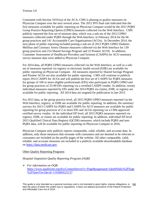Consistent with Section 10331(a) of the ACA, CMS is phasing in quality measures on Physician Compare over the next several years. The 2012 PFS final rule indicated that the first measures available for public reporting on Physician Compare would be the 2012 PQRS Group Practice Reporting Option (GPRO) measures collected via the Web Interface. CMS publicly reported the first set of measure data, which was a sub-set of the 2012 GPRO measures collected under PQRS through the Web Interface, in February 2014 for the 66 group practices and 141 Accountable Care Organizations (ACOs). In December 2014, the next phase of public reporting included posting a sub-set of 2013 PQRS GPRO Diabetes Mellitus and Coronary Artery Disease measures collected via the Web Interface for 139 group practices and 214 Shared Savings Program and 23 Pioneer ACOS. In addition, Consumer Assessment of Healthcare Providers and Systems (CAHPS) for ACO summary survey measure data were added to Physician Compare.

For 2014 data, all PQRS GPRO measures collected via the Web Interface, as well as a subset of measures reported via registry or electronic health record (EHR) are available for public reporting on Physician Compare. All measures reported by Shared Savings Program and Pioneer ACOs are also available for public reporting. CMS will continue to publicly report 2014 CAHPS for ACOs and will publish the first set of CAHPS for PQRS measures for groups of 100 or more eligible professionals (EPs) who participate in PQRS GPRO and for group practices of 25-99 EPs reporting via a certified CAHPS vendor. In addition, twenty individual measures reported by EPs under the 2014 PQRS via claims, EHR, or registry are available for public reporting. All 2014 data are targeted for publication in late 2015.

For 2015 data, at the group practice level, all 2015 PQRS GPRO measures reported via the Web Interface, registry, or EHR are available for public reporting. In addition, the summary surveys for 2015 CAHPS for PQRS and CAHPS for ACO measures are available for public reporting for group practices of 2 or more EPs and ACOs reporting via a CMS-approved certified survey vendor. At the individual EP level, all 2015 PQRS measures reported via registry, EHR, or claims are available for public reporting. In addition, individual EP-level 2015 Qualified Clinical Data Registry (QCDR) measures, which include PQRS and non-PQRS data, will be available for public reporting on Physician Compare in 2016.

Physician Compare only publicly reports comparable, valid, reliable, and accurate data. In addition, only those measures that resonate with consumers and are deemed to be relevant to consumers are included on the profile pages of the website. All other comparable, valid, reliable, and accurate measures are included in a publicly available downloadable database on [https://data.medicare.gov.](https://data.medicare.gov/)

## Other Quality Reporting Programs

# *Hospital Outpatient Quality Reporting Program (OQR)*

 *For information on OQR*: [https://www.qualitynet.org/dcs/ContentServer?c=Page&pagename=QnetPublic%2FPage](https://www.qualitynet.org/dcs/ContentServer?c=Page&pagename=QnetPublic%2FPage%2FQnetTier1&cid=1192804525137) [%2FQnetTier1&cid=1192804525137](https://www.qualitynet.org/dcs/ContentServer?c=Page&pagename=QnetPublic%2FPage%2FQnetTier1&cid=1192804525137)

This guide is only intended as a general summary and is not intended to grant rights, impose obligations, or 58 take the place of either the written law or regulations. It does not address provisions of the Patient Protection and Affordable Care Act of 2010.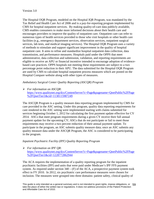The Hospital OQR Program, modeled on the Hospital IQR Program, was mandated by the Tax Relief and Health Care Act of 2006 and is a pay-for-reporting program implemented by CMS for hospital outpatient services. By making quality-of-care data publicly available, CMS enables consumers to make more informed decisions about their health care and encourages providers to improve the quality of outpatient care. Outpatient care can refer to numerous types of health services provided to those who visit hospitals or other health care facilities (e.g., emergency department services, observation services, outpatient surgical services, lab tests, and medical imaging services). The Hospital OQR Program uses a variety of methods to stimulate and support significant improvement in the quality of hospital outpatient care. It aims to refine and standardize hospital outpatient data collection, data transmission, and performance measures. Hospitals paid under the OPPS that meet administrative, data collection and submission, validation, and reporting requirements are eligible to receive an APU or financial incentive intended to encourage adoption of evidencebased care practices. OPPS hospitals not meeting these requirements are subject to a two percentage point reduction in their APU. The data submitted for the Hospital OQR Program are used by CMS to calculate hospital outpatient process measures which are posted on the Hospital Compare website along with other types of measures.

## *Ambulatory Surgical Center Quality Reporting (ASCQR) Program*

 *For information on ASCQR*: [https://www.qualitynet.org/dcs/ContentServer?c=Page&pagename=QnetPublic%2FPage](https://www.qualitynet.org/dcs/ContentServer?c=Page&pagename=QnetPublic%2FPage%2FQnetTier1&cid=1138115987249) [%2FQnetTier1&cid=1138115987249](https://www.qualitynet.org/dcs/ContentServer?c=Page&pagename=QnetPublic%2FPage%2FQnetTier1&cid=1138115987249)

The ASCQR Program is a quality measure data reporting program implemented by CMS for care provided in the ASC setting. Under this program, quality data reporting requirements for care rendered in the ASC setting were implemented starting with claims submitted for services beginning October 1, 2012 for calculating the first payment update effective for CY 2014. ASCs that meet program requirements during a given CY receive their full annual payment update for the upcoming CY; ASCs that do not participate or fail to meet those requirements may receive a two percent reduction of their annual payment update. To participate in the program, an ASC submits quality measure data; once an ASC submits any quality measure data under the ASCQR Program, the ASC is considered to be participating in the program.

## *Inpatient Psychiatric Facility (IPF) Quality Reporting Program*

## *For information on IPF QR*: [https://www.qualitynet.org/dcs/ContentServer?c=Page&pagename=QnetPublic%2FPage](https://www.qualitynet.org/dcs/ContentServer?c=Page&pagename=QnetPublic%2FPage%2FQnetTier1&cid=1228772862944) [%2FQnetTier1&cid=1228772862944](https://www.qualitynet.org/dcs/ContentServer?c=Page&pagename=QnetPublic%2FPage%2FQnetTier1&cid=1228772862944)

The ACA requires the implementation of a quality reporting program for the inpatient psychiatric facilities (IPF) and units that were paid under Medicare's IPF FFS payment system. As required under section  $340 - (F)$  of the ACA, a prospective payment system took effect in FY 2010. In 2012, six psychiatric care performance measures were chosen for inclusion. The measures were grouped into three domains: patient safety, clinical quality of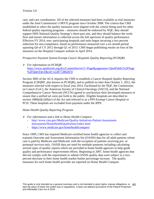care, and care coordination. All of the selected measures had been available as trial measures under the Joint Commission's ORYX program since October 2008. The criteria that CMS established to select the quality measures were aligned with the criteria being used for other federal quality reporting programs – measures should be endorsed by NQF, they should support HHS National Quality Strategy's three-part aim, and they should balance the workflow and ensure information is collected across the full spectrum of quality performance. Effective FY 2014, non- participating hospitals and units began incurring a two percent reduction for non-compliance, based on performance measured over a six-month period spanning Q4 of CY 2012 through Q1 of 2013. CMS began publishing results on four of the measures on the Hospital Compare website in April 2014.

# *Prospective Payment System-Exempt Cancer Hospitals Quality Reporting (PCHQR)*

 *For information on PCHQR*: [https://www.qualitynet.org/dcs/ContentServer?c=Page&pagename=QnetPublic%2FPage](https://www.qualitynet.org/dcs/ContentServer?c=Page&pagename=QnetPublic%2FPage%2FQnetTier1&cid=1228772862874) [%2FQnetTier1&cid=1228772862874](https://www.qualitynet.org/dcs/ContentServer?c=Page&pagename=QnetPublic%2FPage%2FQnetTier1&cid=1228772862874)

Section 3005 of the ACA requires the CMS to establish a Cancer Hospital Quality Reporting Program (CHQRP, also known as PCHQR), and to publish no later than October 1, 2012, the measures selected with respect to fiscal year 2014. Facilitated by the NQF, the Commission on Cancer (CoC), the American Society of Clinical Oncology (ASCO), and the National Comprehensive Cancer Network (NCCN) agreed to synchronize their developed measures to ensure that a unified set were put forth to the public. Eligible hospitals are described in section  $1886(d)(1)(B)(v)$  of the Act and referred to as a PPS-Exempt Cancer Hospital or PCH. These hospitals are excluded from payment under the IPPS.

# *Home Health Quality Reporting Program*

- *For information and a link to Home Health Compare*:
	- [http://www.cms.gov/Medicare/Quality-Initiatives-Patient-Assessment-](http://www.cms.gov/Medicare/Quality-Initiatives-Patient-Assessment-Instruments/HomeHealthQualityInits/index.html)[Instruments/HomeHealthQualityInits/index.html](http://www.cms.gov/Medicare/Quality-Initiatives-Patient-Assessment-Instruments/HomeHealthQualityInits/index.html)
	- <https://www.medicare.gov/homehealthcompare/>

Since 1999, CMS has required Medicare-certified home health agencies to collect and transmit Outcome and Assessment Information Set (OASIS) data for all adult patients whose care is paid by Medicare and Medicaid, with the exception of patients receiving pre- or postnatal services only. OASIS data are used for multiple purposes including calculating several types of quality reports which are provided to home health agencies to help guide quality and performance improvement efforts. Beginning in 2007, home health agencies that did not comply with the requirement to submit OASIS quality data were subject to a twopercent decrease in their home health market basket percentage increase. The quality measures for each home health provider are reported on Home Health Compare.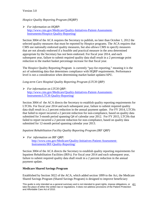# *Hospice Quality Reporting Program (HQRP)*

 *For information on HQRP*: [http://www.cms.gov/Medicare/Quality-Initiatives-Patient-Assessment-](http://www.cms.gov/Medicare/Quality-Initiatives-Patient-Assessment-Instruments/Hospice-Quality-Reporting/)[Instruments/Hospice-Quality-Reporting/](http://www.cms.gov/Medicare/Quality-Initiatives-Patient-Assessment-Instruments/Hospice-Quality-Reporting/)

Section 3004 of the ACA requires the Secretary to publish, no later than October 1, 2012 the selected quality measures that must be reported by Hospice programs. The ACA requires that CMS use nationally endorsed quality measures, but also allows CMS to specify measures that are not already endorsed if a feasible and practical measure in the area determined appropriate by the Secretary has not been endorsed. For fiscal year 2014, and each subsequent year, failure to submit required quality data shall result in a 2 percentage point reduction to the market basket percentage increase for that fiscal year.

The Hospice Quality Reporting Program is currently "pay-for-reporting," meaning it is the act of submitting data that determines compliance with HQRP requirements. Performance level is not a consideration when determining market basket updates/APU.

# *Long-term Care Hospital Quality Reporting Program (LTCH QRP)*

 *For information on LTCH QRP:* [http://www.cms.gov/Medicare/Quality-Initiatives-Patient-Assessment-](http://www.cms.gov/Medicare/Quality-Initiatives-Patient-Assessment-Instruments/LTCH-Quality-Reporting/)[Instruments/LTCH-Quality-Reporting/](http://www.cms.gov/Medicare/Quality-Initiatives-Patient-Assessment-Instruments/LTCH-Quality-Reporting/)

Section 3004 of the ACA directs the Secretary to establish quality reporting requirements for LTCHs. For fiscal year 2014 and each subsequent year, failure to submit required quality data shall result in a 2 percent reduction in the annual payment update. For FY 2014, LTCHs that failed to report incurred a 2 percent reduction for non-compliance, based on quality data submitted for 3-month period spanning Q4 of calendar year 2012. For FY 2015, LTCHs that failed to report incurred a 2 percent reduction for non-compliance, based on quality data submitted for 12-month period spanning calendar year 2013.

# *Inpatient Rehabilitation Facility Quality Reporting Program (IRF QRP)*

 *For information on IRF QRP*: [http://www.cms.gov/Medicare/Quality-Initiatives-Patient-Assessment-](http://www.cms.gov/Medicare/Quality-Initiatives-Patient-Assessment-Instruments/IRF-Quality-Reporting/)[Instruments/IRF-Quality-Reporting/](http://www.cms.gov/Medicare/Quality-Initiatives-Patient-Assessment-Instruments/IRF-Quality-Reporting/)

Section 3004 of the ACA directs the Secretary to establish quality reporting requirements for Inpatient Rehabilitation Facilities (IRFs). For fiscal year 2014 and each subsequent year, failure to submit required quality data shall result in a 2 percent reduction in the annual payment update.

# <span id="page-60-0"></span>**Medicare Shared Savings Program**

Established by Section 3022 of the ACA, which added section 1899 to the Act, the Medicare Shared Savings Program (Shared Savings Program) is designed to improve beneficiary

This guide is only intended as a general summary and is not intended to grant rights, impose obligations, or 61 take the place of either the written law or regulations. It does not address provisions of the Patient Protection and Affordable Care Act of 2010.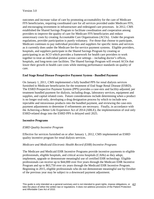outcomes and increase value of care by promoting accountability for the care of Medicare FFS beneficiaries, requiring coordinated care for all services provided under Medicare FFS, and encouraging investment in infrastructure and redesigned care processes. In 2012, CMS established the Shared Savings Program to facilitate coordination and cooperation among providers to improve the quality of care for Medicare FFS beneficiaries and reduce unnecessary costs by creating Accountable Care Organizations (ACOs). Under the program regulations, provider participation is purely voluntary. For those that choose to participate, Medicare continues to pay individual providers and suppliers for specific items and services as it currently does under the Medicare fee-for-service payment systems. Eligible providers, hospitals, and suppliers participate in the Shared Savings Program by creating or participating in an ACO which provides a framework for health care providers to work together to treat an individual patient across care settings – including doctor's offices, hospitals, and long-term care facilities. The Shared Savings Program will reward ACOs that lower their growth in health care costs while meeting performance standards on quality of care.

## <span id="page-61-0"></span>**End Stage Renal Disease Prospective Payment System - Bundled Payment**

On January 1, 2011, CMS implemented a fully bundled PPS for renal dialysis services furnished to Medicare beneficiaries for the treatment of End Stage Renal Disease (ESRD). The ESRD Prospective Payment System (PPS) provides a case-mix and facility-adjusted, per treatment bundled payment for dialysis, including drugs, laboratory services, equipment and supplies, and capital related costs. Future considerations include determining when a product is no longer oral-only, developing a drug designation process by which to include new injectable and intravenous products into the bundled payment, and reviewing the case-mix payment adjustments to determine if refinements are necessary. Finally, in accordance with the Achieving a Better Life Experience Act of 2014 (ABLE), the implementation of oral only ESRD-related drugs into the ESRD PPS is delayed until 2025.

## <span id="page-61-1"></span>**Incentive Programs**

## *ESRD Quality Incentive Program*

Effective for services furnished on or after January 1, 2012, CMS implemented an ESRD quality incentive program for renal dialysis services.

## *Medicare and Medicaid Electronic Health Record (EHR) Incentive Programs*

The Medicare and Medicaid EHR Incentive Programs provide incentive payments to eligible professionals, eligible hospitals, and critical access hospitals (CAHs) as they adopt, implement, upgrade or demonstrate meaningful use of certified EHR technology. Eligible professionals can receive up to \$44,000 over five years through the Medicare EHR Incentive Program and up to \$63,750 over six years through the Medicaid EHR Incentive Program. Beginning in 2015, eligible professionals who do not demonstrate meaningful use by October of the previous year may be subject to a downward payment adjustment.